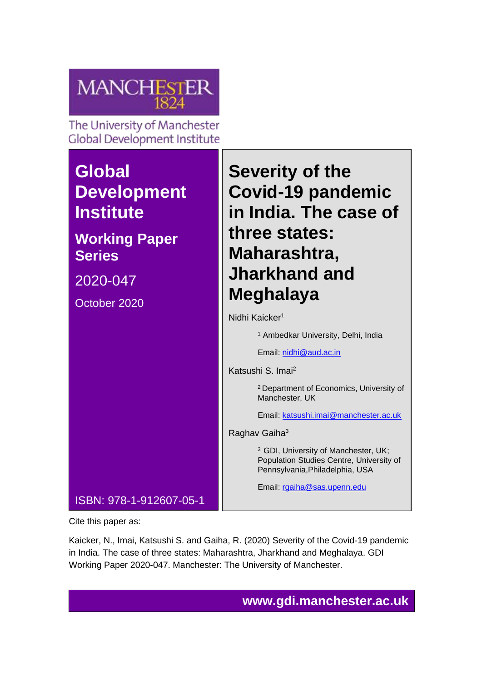

The University of Manchester **Global Development Institute** 

# **Global Development Institute**

# **Working Paper Series**

2020-047

October 2020

**Severity of the Covid-19 pandemic in India. The case of three states: Maharashtra, Jharkhand and Meghalaya**

Nidhi Kaicker<sup>1</sup>

<sup>1</sup> Ambedkar University, Delhi, India

Email: [nidhi@aud.ac.in](mailto:nidhi@aud.ac.in)

Katsushi S. Imai<sup>2</sup>

<sup>2</sup>Department of Economics, University of Manchester, UK

Email: [katsushi.imai@manchester.ac.uk](mailto:katsushi.imai@manchester.ac.uk)

Raghav Gaiha<sup>3</sup>

<sup>3</sup> GDI, University of Manchester, UK; Population Studies Centre, University of Pennsylvania,Philadelphia, USA

Email: [rgaiha@sas.upenn.edu](mailto:rgaiha@sas.upenn.edu)

Cite this paper as:

ISBN: 978-1-912607-05-1

Kaicker, N., Imai, Katsushi S. and Gaiha, R. (2020) Severity of the Covid-19 pandemic in India. The case of three states: Maharashtra, Jharkhand and Meghalaya. GDI Working Paper 2020-047. Manchester: The University of Manchester.

**www.gdi.manchester.ac.uk**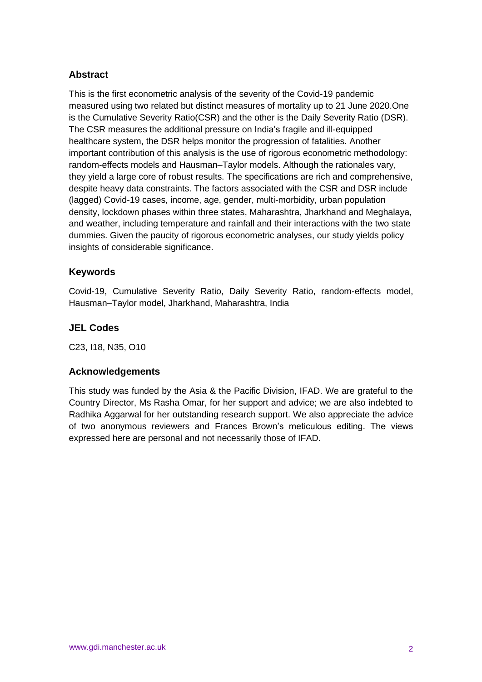## **Abstract**

This is the first econometric analysis of the severity of the Covid-19 pandemic measured using two related but distinct measures of mortality up to 21 June 2020.One is the Cumulative Severity Ratio(CSR) and the other is the Daily Severity Ratio (DSR). The CSR measures the additional pressure on India's fragile and ill-equipped healthcare system, the DSR helps monitor the progression of fatalities. Another important contribution of this analysis is the use of rigorous econometric methodology: random-effects models and Hausman–Taylor models. Although the rationales vary, they yield a large core of robust results. The specifications are rich and comprehensive, despite heavy data constraints. The factors associated with the CSR and DSR include (lagged) Covid-19 cases, income, age, gender, multi-morbidity, urban population density, lockdown phases within three states, Maharashtra, Jharkhand and Meghalaya, and weather, including temperature and rainfall and their interactions with the two state dummies. Given the paucity of rigorous econometric analyses, our study yields policy insights of considerable significance.

#### **Keywords**

Covid-19, Cumulative Severity Ratio, Daily Severity Ratio, random-effects model, Hausman–Taylor model, Jharkhand, Maharashtra, India

#### **JEL Codes**

C23, I18, N35, O10

#### **Acknowledgements**

This study was funded by the Asia & the Pacific Division, IFAD. We are grateful to the Country Director, Ms Rasha Omar, for her support and advice; we are also indebted to Radhika Aggarwal for her outstanding research support. We also appreciate the advice of two anonymous reviewers and Frances Brown's meticulous editing. The views expressed here are personal and not necessarily those of IFAD.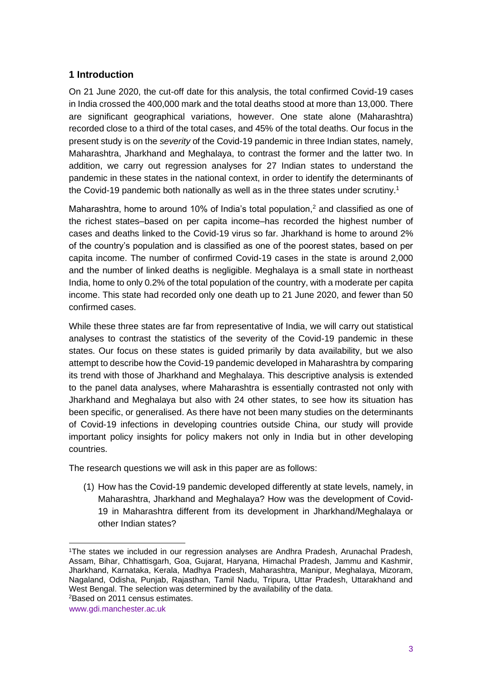## **1 Introduction**

On 21 June 2020, the cut-off date for this analysis, the total confirmed Covid-19 cases in India crossed the 400,000 mark and the total deaths stood at more than 13,000. There are significant geographical variations, however. One state alone (Maharashtra) recorded close to a third of the total cases, and 45% of the total deaths. Our focus in the present study is on the *severity* of the Covid-19 pandemic in three Indian states, namely, Maharashtra, Jharkhand and Meghalaya, to contrast the former and the latter two. In addition, we carry out regression analyses for 27 Indian states to understand the pandemic in these states in the national context, in order to identify the determinants of the Covid-19 pandemic both nationally as well as in the three states under scrutiny.<sup>1</sup>

Maharashtra, home to around 10% of India's total population, $<sup>2</sup>$  and classified as one of</sup> the richest states–based on per capita income–has recorded the highest number of cases and deaths linked to the Covid-19 virus so far. Jharkhand is home to around 2% of the country's population and is classified as one of the poorest states, based on per capita income. The number of confirmed Covid-19 cases in the state is around 2,000 and the number of linked deaths is negligible. Meghalaya is a small state in northeast India, home to only 0.2% of the total population of the country, with a moderate per capita income. This state had recorded only one death up to 21 June 2020, and fewer than 50 confirmed cases.

While these three states are far from representative of India, we will carry out statistical analyses to contrast the statistics of the severity of the Covid-19 pandemic in these states. Our focus on these states is guided primarily by data availability, but we also attempt to describe how the Covid-19 pandemic developed in Maharashtra by comparing its trend with those of Jharkhand and Meghalaya. This descriptive analysis is extended to the panel data analyses, where Maharashtra is essentially contrasted not only with Jharkhand and Meghalaya but also with 24 other states, to see how its situation has been specific, or generalised. As there have not been many studies on the determinants of Covid-19 infections in developing countries outside China, our study will provide important policy insights for policy makers not only in India but in other developing countries.

The research questions we will ask in this paper are as follows:

(1) How has the Covid-19 pandemic developed differently at state levels, namely, in Maharashtra, Jharkhand and Meghalaya? How was the development of Covid-19 in Maharashtra different from its development in Jharkhand/Meghalaya or other Indian states?

<sup>1</sup>The states we included in our regression analyses are Andhra Pradesh, Arunachal Pradesh, Assam, Bihar, Chhattisgarh, Goa, Gujarat, Haryana, Himachal Pradesh, Jammu and Kashmir, Jharkhand, Karnataka, Kerala, Madhya Pradesh, Maharashtra, Manipur, Meghalaya, Mizoram, Nagaland, Odisha, Punjab, Rajasthan, Tamil Nadu, Tripura, Uttar Pradesh, Uttarakhand and West Bengal. The selection was determined by the availability of the data. 2Based on 2011 census estimates.

www.gdi.manchester.ac.uk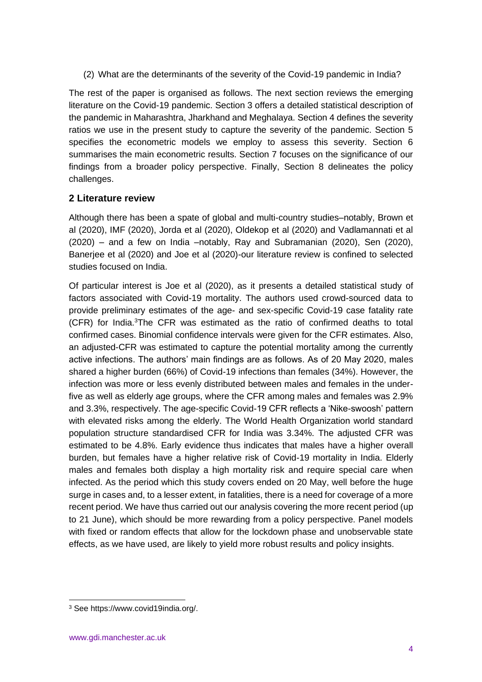(2) What are the determinants of the severity of the Covid-19 pandemic in India?

The rest of the paper is organised as follows. The next section reviews the emerging literature on the Covid-19 pandemic. Section 3 offers a detailed statistical description of the pandemic in Maharashtra, Jharkhand and Meghalaya. Section 4 defines the severity ratios we use in the present study to capture the severity of the pandemic. Section 5 specifies the econometric models we employ to assess this severity. Section 6 summarises the main econometric results. Section 7 focuses on the significance of our findings from a broader policy perspective. Finally, Section 8 delineates the policy challenges.

## **2 Literature review**

Although there has been a spate of global and multi-country studies–notably, Brown et al (2020), IMF (2020), Jorda et al (2020), Oldekop et al (2020) and Vadlamannati et al (2020) – and a few on India –notably, Ray and Subramanian (2020), Sen (2020), Banerjee et al (2020) and Joe et al (2020)-our literature review is confined to selected studies focused on India.

Of particular interest is Joe et al (2020), as it presents a detailed statistical study of factors associated with Covid-19 mortality. The authors used crowd-sourced data to provide preliminary estimates of the age- and sex-specific Covid-19 case fatality rate (CFR) for India.<sup>3</sup>The CFR was estimated as the ratio of confirmed deaths to total confirmed cases. Binomial confidence intervals were given for the CFR estimates. Also, an adjusted-CFR was estimated to capture the potential mortality among the currently active infections. The authors' main findings are as follows. As of 20 May 2020, males shared a higher burden (66%) of Covid-19 infections than females (34%). However, the infection was more or less evenly distributed between males and females in the underfive as well as elderly age groups, where the CFR among males and females was 2.9% and 3.3%, respectively. The age-specific Covid-19 CFR reflects a 'Nike-swoosh' pattern with elevated risks among the elderly. The World Health Organization world standard population structure standardised CFR for India was 3.34%. The adjusted CFR was estimated to be 4.8%. Early evidence thus indicates that males have a higher overall burden, but females have a higher relative risk of Covid-19 mortality in India. Elderly males and females both display a high mortality risk and require special care when infected. As the period which this study covers ended on 20 May, well before the huge surge in cases and, to a lesser extent, in fatalities, there is a need for coverage of a more recent period. We have thus carried out our analysis covering the more recent period (up to 21 June), which should be more rewarding from a policy perspective. Panel models with fixed or random effects that allow for the lockdown phase and unobservable state effects, as we have used, are likely to yield more robust results and policy insights.

<sup>3</sup> See https://www.covid19india.org/.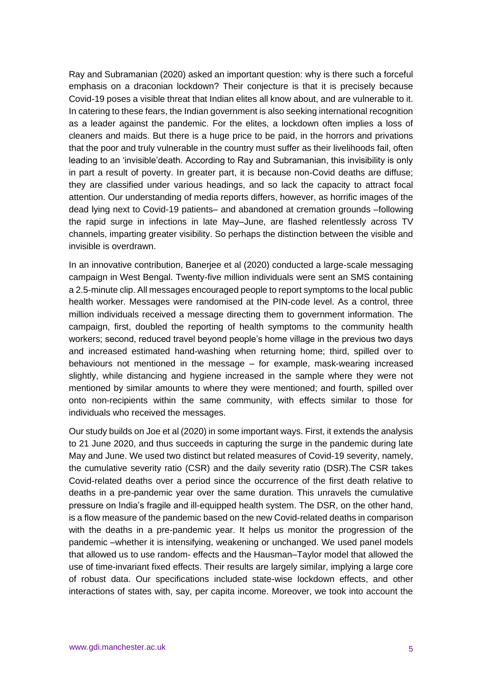Ray and Subramanian (2020) asked an important question: why is there such a forceful emphasis on a draconian lockdown? Their conjecture is that it is precisely because Covid-19 poses a visible threat that Indian elites all know about, and are vulnerable to it. In catering to these fears, the Indian government is also seeking international recognition as a leader against the pandemic. For the elites, a lockdown often implies a loss of cleaners and maids. But there is a huge price to be paid, in the horrors and privations that the poor and truly vulnerable in the country must suffer as their livelihoods fail, often leading to an 'invisible'death. According to Ray and Subramanian, this invisibility is only in part a result of poverty. In greater part, it is because non-Covid deaths are diffuse; they are classified under various headings, and so lack the capacity to attract focal attention. Our understanding of media reports differs, however, as horrific images of the dead lying next to Covid-19 patients– and abandoned at cremation grounds –following the rapid surge in infections in late May–June, are flashed relentlessly across TV channels, imparting greater visibility. So perhaps the distinction between the visible and invisible is overdrawn.

In an innovative contribution, Banerjee et al (2020) conducted a large-scale messaging campaign in West Bengal. Twenty-five million individuals were sent an SMS containing a 2.5-minute clip. All messages encouraged people to report symptoms to the local public health worker. Messages were randomised at the PIN-code level. As a control, three million individuals received a message directing them to government information. The campaign, first, doubled the reporting of health symptoms to the community health workers; second, reduced travel beyond people's home village in the previous two days and increased estimated hand-washing when returning home; third, spilled over to behaviours not mentioned in the message – for example, mask-wearing increased slightly, while distancing and hygiene increased in the sample where they were not mentioned by similar amounts to where they were mentioned; and fourth, spilled over onto non-recipients within the same community, with effects similar to those for individuals who received the messages.

Our study builds on Joe et al (2020) in some important ways. First, it extends the analysis to 21 June 2020, and thus succeeds in capturing the surge in the pandemic during late May and June. We used two distinct but related measures of Covid-19 severity, namely, the cumulative severity ratio (CSR) and the daily severity ratio (DSR).The CSR takes Covid-related deaths over a period since the occurrence of the first death relative to deaths in a pre-pandemic year over the same duration. This unravels the cumulative pressure on India's fragile and ill-equipped health system. The DSR, on the other hand, is a flow measure of the pandemic based on the new Covid-related deaths in comparison with the deaths in a pre-pandemic year. It helps us monitor the progression of the pandemic –whether it is intensifying, weakening or unchanged. We used panel models that allowed us to use random- effects and the Hausman–Taylor model that allowed the use of time-invariant fixed effects. Their results are largely similar, implying a large core of robust data. Our specifications included state-wise lockdown effects, and other interactions of states with, say, per capita income. Moreover, we took into account the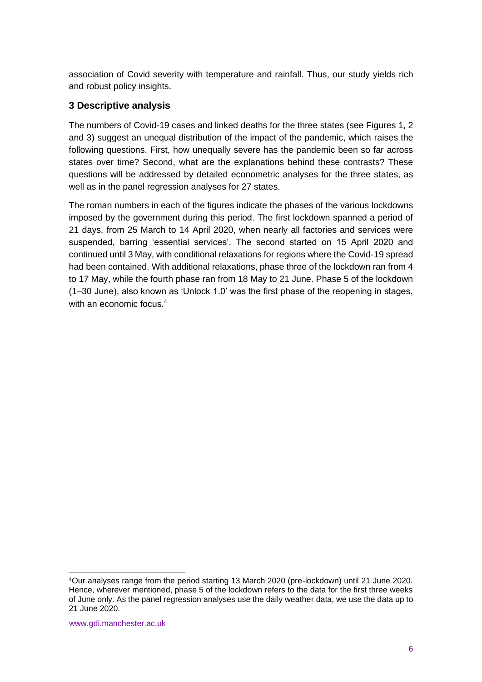association of Covid severity with temperature and rainfall. Thus, our study yields rich and robust policy insights.

## **3 Descriptive analysis**

The numbers of Covid-19 cases and linked deaths for the three states (see Figures 1, 2 and 3) suggest an unequal distribution of the impact of the pandemic, which raises the following questions. First, how unequally severe has the pandemic been so far across states over time? Second, what are the explanations behind these contrasts? These questions will be addressed by detailed econometric analyses for the three states, as well as in the panel regression analyses for 27 states.

The roman numbers in each of the figures indicate the phases of the various lockdowns imposed by the government during this period. The first lockdown spanned a period of 21 days, from 25 March to 14 April 2020, when nearly all factories and services were suspended, barring 'essential services'. The second started on 15 April 2020 and continued until 3 May, with conditional relaxations for regions where the Covid-19 spread had been contained. With additional relaxations, phase three of the lockdown ran from 4 to 17 May, while the fourth phase ran from 18 May to 21 June. Phase 5 of the lockdown (1–30 June), also known as 'Unlock 1.0' was the first phase of the reopening in stages, with an economic focus.<sup>4</sup>

<sup>4</sup>Our analyses range from the period starting 13 March 2020 (pre-lockdown) until 21 June 2020. Hence, wherever mentioned, phase 5 of the lockdown refers to the data for the first three weeks of June only. As the panel regression analyses use the daily weather data, we use the data up to 21 June 2020.

www.gdi.manchester.ac.uk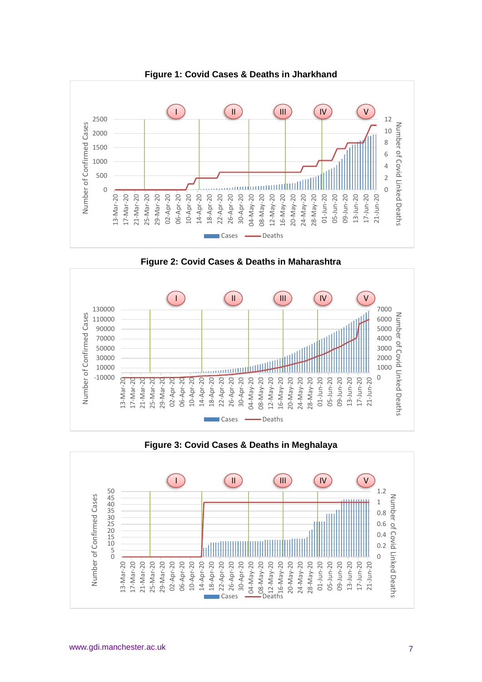

**Figure 2: Covid Cases & Deaths in Maharashtra**



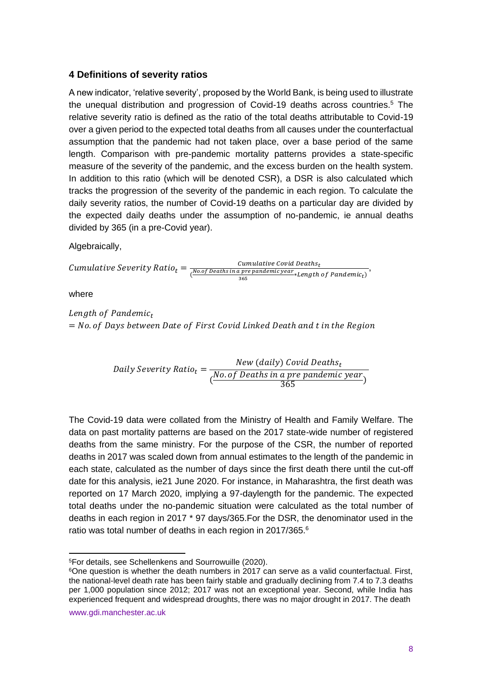#### **4 Definitions of severity ratios**

A new indicator, 'relative severity', proposed by the World Bank, is being used to illustrate the unequal distribution and progression of Covid-19 deaths across countries.<sup>5</sup> The relative severity ratio is defined as the ratio of the total deaths attributable to Covid-19 over a given period to the expected total deaths from all causes under the counterfactual assumption that the pandemic had not taken place, over a base period of the same length. Comparison with pre-pandemic mortality patterns provides a state-specific measure of the severity of the pandemic, and the excess burden on the health system. In addition to this ratio (which will be denoted CSR), a DSR is also calculated which tracks the progression of the severity of the pandemic in each region. To calculate the daily severity ratios, the number of Covid-19 deaths on a particular day are divided by the expected daily deaths under the assumption of no-pandemic, ie annual deaths divided by 365 (in a pre-Covid year).

Algebraically,

Cumulative Security Ratio<sub>t</sub> = 
$$
\frac{Cumulative\ Covid\ Deaths_t}{\frac{N0.0f\ Deaths\ in\ a\ pre\ pandemic\ year}{365} * Length\ of\ Pandemic}},
$$

where

Length of Pandemic<sub>t</sub>  $=$  No. of Days between Date of First Covid Linked Death and t in the Region

DailySevery Ratio<sub>t</sub> = 
$$
\frac{New (daily) Covid \ Deaths_t}{\frac{No. \ of \ Deaths \ in \ a \ pre \ pandemic \ year}{365}}
$$

The Covid-19 data were collated from the Ministry of Health and Family Welfare. The data on past mortality patterns are based on the 2017 state-wide number of registered deaths from the same ministry. For the purpose of the CSR, the number of reported deaths in 2017 was scaled down from annual estimates to the length of the pandemic in each state, calculated as the number of days since the first death there until the cut-off date for this analysis, ie21 June 2020. For instance, in Maharashtra, the first death was reported on 17 March 2020, implying a 97-daylength for the pandemic. The expected total deaths under the no-pandemic situation were calculated as the total number of deaths in each region in 2017 \* 97 days/365.For the DSR, the denominator used in the ratio was total number of deaths in each region in 2017/365.<sup>6</sup>

www.gdi.manchester.ac.uk

<sup>5</sup>For details, see Schellenkens and Sourrowuille (2020).

<sup>&</sup>lt;sup>6</sup>One question is whether the death numbers in 2017 can serve as a valid counterfactual. First, the national-level death rate has been fairly stable and gradually declining from 7.4 to 7.3 deaths per 1,000 population since 2012; 2017 was not an exceptional year. Second, while India has experienced frequent and widespread droughts, there was no major drought in 2017. The death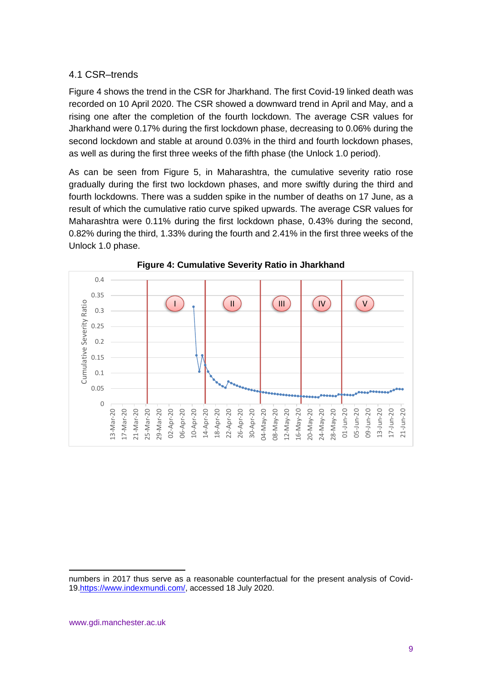#### 4.1 CSR–trends

Figure 4 shows the trend in the CSR for Jharkhand. The first Covid-19 linked death was recorded on 10 April 2020. The CSR showed a downward trend in April and May, and a rising one after the completion of the fourth lockdown. The average CSR values for Jharkhand were 0.17% during the first lockdown phase, decreasing to 0.06% during the second lockdown and stable at around 0.03% in the third and fourth lockdown phases, as well as during the first three weeks of the fifth phase (the Unlock 1.0 period).

As can be seen from Figure 5, in Maharashtra, the cumulative severity ratio rose gradually during the first two lockdown phases, and more swiftly during the third and fourth lockdowns. There was a sudden spike in the number of deaths on 17 June, as a result of which the cumulative ratio curve spiked upwards. The average CSR values for Maharashtra were 0.11% during the first lockdown phase, 0.43% during the second, 0.82% during the third, 1.33% during the fourth and 2.41% in the first three weeks of the Unlock 1.0 phase.





numbers in 2017 thus serve as a reasonable counterfactual for the present analysis of Covid-19[.https://www.indexmundi.com/,](https://www.indexmundi.com/) accessed 18 July 2020.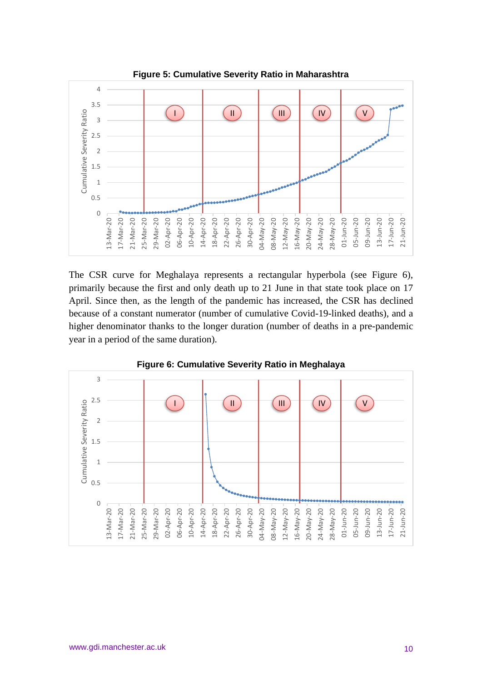

The CSR curve for Meghalaya represents a rectangular hyperbola (see Figure 6), primarily because the first and only death up to 21 June in that state took place on 17 April. Since then, as the length of the pandemic has increased, the CSR has declined because of a constant numerator (number of cumulative Covid-19-linked deaths), and a higher denominator thanks to the longer duration (number of deaths in a pre-pandemic



**Figure 6: Cumulative Severity Ratio in Meghalaya**

year in a period of the same duration).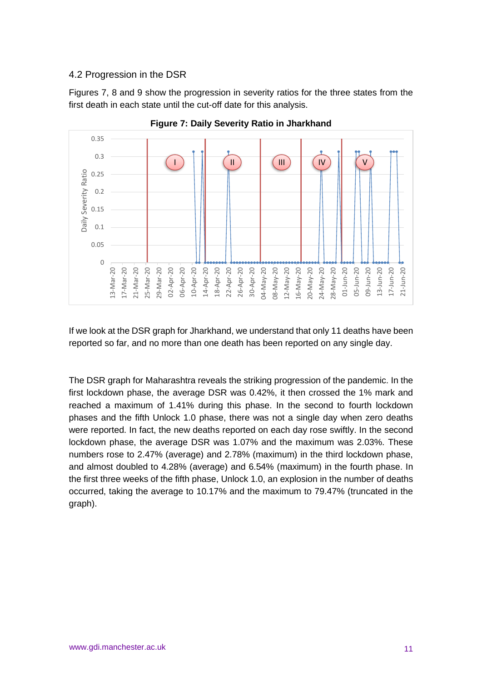#### 4.2 Progression in the DSR

Figures 7, 8 and 9 show the progression in severity ratios for the three states from the first death in each state until the cut-off date for this analysis.



**Figure 7: Daily Severity Ratio in Jharkhand**

If we look at the DSR graph for Jharkhand, we understand that only 11 deaths have been reported so far, and no more than one death has been reported on any single day.

The DSR graph for Maharashtra reveals the striking progression of the pandemic. In the first lockdown phase, the average DSR was 0.42%, it then crossed the 1% mark and reached a maximum of 1.41% during this phase. In the second to fourth lockdown phases and the fifth Unlock 1.0 phase, there was not a single day when zero deaths were reported. In fact, the new deaths reported on each day rose swiftly. In the second lockdown phase, the average DSR was 1.07% and the maximum was 2.03%. These numbers rose to 2.47% (average) and 2.78% (maximum) in the third lockdown phase, and almost doubled to 4.28% (average) and 6.54% (maximum) in the fourth phase. In the first three weeks of the fifth phase, Unlock 1.0, an explosion in the number of deaths occurred, taking the average to 10.17% and the maximum to 79.47% (truncated in the graph).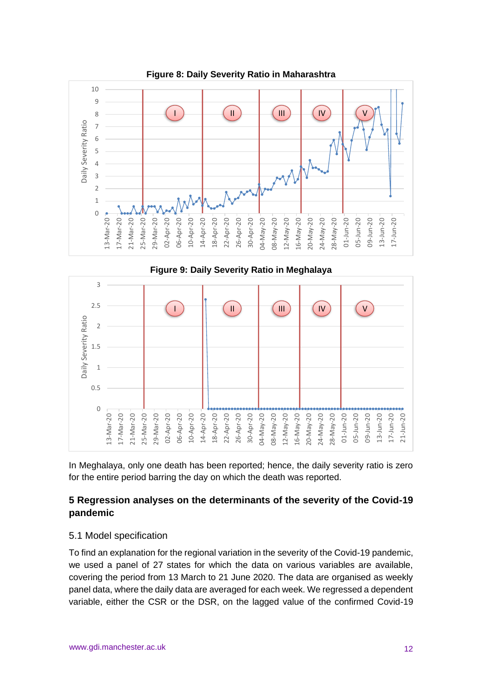

**Figure 8: Daily Severity Ratio in Maharashtra**



In Meghalaya, only one death has been reported; hence, the daily severity ratio is zero for the entire period barring the day on which the death was reported.

# **5 Regression analyses on the determinants of the severity of the Covid-19 pandemic**

#### 5.1 Model specification

To find an explanation for the regional variation in the severity of the Covid-19 pandemic, we used a panel of 27 states for which the data on various variables are available, covering the period from 13 March to 21 June 2020. The data are organised as weekly panel data, where the daily data are averaged for each week. We regressed a dependent variable, either the CSR or the DSR, on the lagged value of the confirmed Covid-19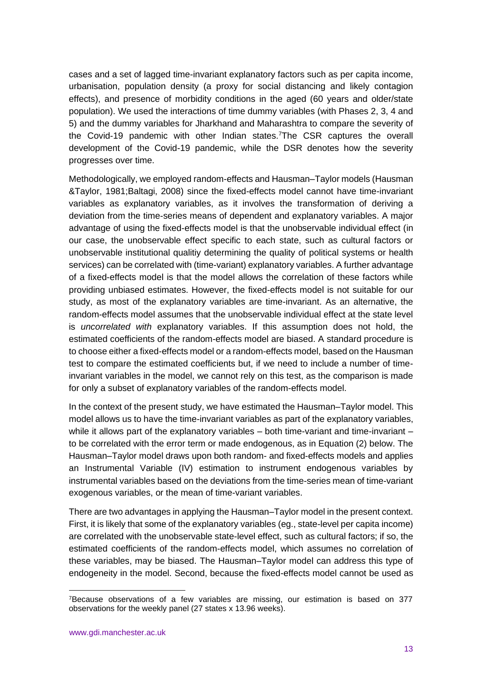cases and a set of lagged time-invariant explanatory factors such as per capita income, urbanisation, population density (a proxy for social distancing and likely contagion effects), and presence of morbidity conditions in the aged (60 years and older/state population). We used the interactions of time dummy variables (with Phases 2, 3, 4 and 5) and the dummy variables for Jharkhand and Maharashtra to compare the severity of the Covid-19 pandemic with other Indian states.<sup>7</sup>The CSR captures the overall development of the Covid-19 pandemic, while the DSR denotes how the severity progresses over time.

Methodologically, we employed random-effects and Hausman–Taylor models (Hausman &Taylor, 1981;Baltagi, 2008) since the fixed-effects model cannot have time-invariant variables as explanatory variables, as it involves the transformation of deriving a deviation from the time-series means of dependent and explanatory variables. A major advantage of using the fixed-effects model is that the unobservable individual effect (in our case, the unobservable effect specific to each state, such as cultural factors or unobservable institutional qualitiy determining the quality of political systems or health services) can be correlated with (time-variant) explanatory variables. A further advantage of a fixed-effects model is that the model allows the correlation of these factors while providing unbiased estimates. However, the fixed-effects model is not suitable for our study, as most of the explanatory variables are time-invariant. As an alternative, the random-effects model assumes that the unobservable individual effect at the state level is *uncorrelated with* explanatory variables. If this assumption does not hold, the estimated coefficients of the random-effects model are biased. A standard procedure is to choose either a fixed-effects model or a random-effects model, based on the Hausman test to compare the estimated coefficients but, if we need to include a number of timeinvariant variables in the model, we cannot rely on this test, as the comparison is made for only a subset of explanatory variables of the random-effects model.

In the context of the present study, we have estimated the Hausman–Taylor model. This model allows us to have the time-invariant variables as part of the explanatory variables, while it allows part of the explanatory variables – both time-variant and time-invariant – to be correlated with the error term or made endogenous, as in Equation (2) below. The Hausman–Taylor model draws upon both random- and fixed-effects models and applies an Instrumental Variable (IV) estimation to instrument endogenous variables by instrumental variables based on the deviations from the time-series mean of time-variant exogenous variables, or the mean of time-variant variables.

There are two advantages in applying the Hausman–Taylor model in the present context. First, it is likely that some of the explanatory variables (eg., state-level per capita income) are correlated with the unobservable state-level effect, such as cultural factors; if so, the estimated coefficients of the random-effects model, which assumes no correlation of these variables, may be biased. The Hausman–Taylor model can address this type of endogeneity in the model. Second, because the fixed-effects model cannot be used as

<sup>7</sup>Because observations of a few variables are missing, our estimation is based on 377 observations for the weekly panel (27 states x 13.96 weeks).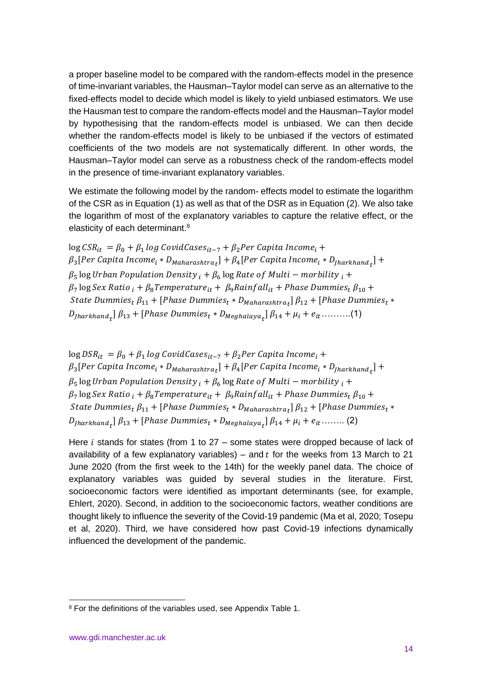a proper baseline model to be compared with the random-effects model in the presence of time-invariant variables, the Hausman–Taylor model can serve as an alternative to the fixed-effects model to decide which model is likely to yield unbiased estimators. We use the Hausman test to compare the random-effects model and the Hausman–Taylor model by hypothesising that the random-effects model is unbiased. We can then decide whether the random-effects model is likely to be unbiased if the vectors of estimated coefficients of the two models are not systematically different. In other words, the Hausman–Taylor model can serve as a robustness check of the random-effects model in the presence of time-invariant explanatory variables.

We estimate the following model by the random- effects model to estimate the logarithm of the CSR as in Equation (1) as well as that of the DSR as in Equation (2). We also take the logarithm of most of the explanatory variables to capture the relative effect, or the elasticity of each determinant.<sup>8</sup>

 $\log CSR_{it} = \beta_0 + \beta_1 \log CovidCaseS_{it-7} + \beta_2 Per Capita Income_i +$  $\beta_3[Per\; Capita\; Income_i * D_{Maharashtra}_t]+\beta_4[Per\; Capita\; Income_i * D_{Jharkhand}_t]+$  $\beta_5$  log Urban Population Density  $_i + \beta_6$  log Rate of Multi – morbility  $_i +$  $\beta_7$  log Sex Ratio  $_i + \beta_8$ Temperature<sub>it</sub> +  $\beta_9$ Rainfall<sub>it</sub> + Phase Dummies<sub>t</sub>  $\beta_{10}$  + State Dummies $_{t}$   $\beta_{11}$  + [Phase Dummies $_{t}$   $\ast$  D<sub>Maharashtra $_{t}$ ]  $\beta_{12}$  + [Phase Dummies $_{t}$   $\ast$ </sub>  $D_{\text{Jharkhand}}$   $\beta_{13}$  + [Phase Dummies<sub>t</sub> \*  $D_{\text{Meghalaya}}$ ]  $\beta_{14}$  +  $\mu_i$  +  $e_{it}$  ..........(1)

 $\log DSR_{it} = \beta_0 + \beta_1 \log CovidCaseS_{it-7} + \beta_2 Per Capita Income_i +$  $\beta_3[Per\; Capita\; Income_i * D_{Maharashtra}_t]+\beta_4[Per\; Capita\; Income_i * D_{Jharkhand}_t]+$  $\beta_5$  log Urban Population Density  $_i + \beta_6$  log Rate of Multi – morbility  $_i +$  $\beta_7 \log$  Sex Ratio  $_i + \beta_8$ Temperature $_{it} + \beta_9$ Rainfall<sub>it</sub> + Phase Dummies<sub>t</sub>  $\beta_{10}$  + State Dummies $_{t}$   $\beta_{11}$  + [Phase Dummies $_{t}$   $\ast$   $D_{Maharashtra}_{t}$ ]  $\beta_{12}$  + [Phase Dummies $_{t}$   $\ast$  $D_{\text{Jharkhand}}$   $\beta_{13}$  + [Phase Dummies<sub>t</sub> \*  $D_{\text{Meghalaya}}$ ]  $\beta_{14}$  +  $\mu_i$  +  $e_{it}$  ........ (2)

Here  $i$  stands for states (from 1 to 27 – some states were dropped because of lack of availability of a few explanatory variables) – and  $t$  for the weeks from 13 March to 21 June 2020 (from the first week to the 14th) for the weekly panel data. The choice of explanatory variables was guided by several studies in the literature. First, socioeconomic factors were identified as important determinants (see, for example, Ehlert, 2020). Second, in addition to the socioeconomic factors, weather conditions are thought likely to influence the severity of the Covid-19 pandemic (Ma et al, 2020; Tosepu et al, 2020). Third, we have considered how past Covid-19 infections dynamically influenced the development of the pandemic.

<sup>&</sup>lt;sup>8</sup> For the definitions of the variables used, see Appendix Table 1.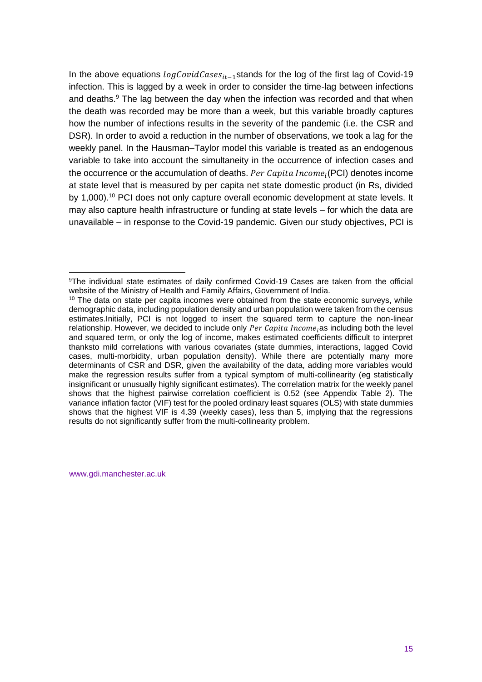In the above equations  $logCovidCaseS_{it-1}$ stands for the log of the first lag of Covid-19 infection. This is lagged by a week in order to consider the time-lag between infections and deaths.<sup>9</sup> The lag between the day when the infection was recorded and that when the death was recorded may be more than a week, but this variable broadly captures how the number of infections results in the severity of the pandemic (i.e. the CSR and DSR). In order to avoid a reduction in the number of observations, we took a lag for the weekly panel. In the Hausman–Taylor model this variable is treated as an endogenous variable to take into account the simultaneity in the occurrence of infection cases and the occurrence or the accumulation of deaths.  $Per\, Capita\, Income_i(PCI)$  denotes income at state level that is measured by per capita net state domestic product (in Rs, divided by 1,000).<sup>10</sup> PCI does not only capture overall economic development at state levels. It may also capture health infrastructure or funding at state levels – for which the data are unavailable – in response to the Covid-19 pandemic. Given our study objectives, PCI is

www.gdi.manchester.ac.uk

<sup>9</sup>The individual state estimates of daily confirmed Covid-19 Cases are taken from the official website of the Ministry of Health and Family Affairs, Government of India.

 $10$  The data on state per capita incomes were obtained from the state economic surveys, while demographic data, including population density and urban population were taken from the census estimates.Initially, PCI is not logged to insert the squared term to capture the non-linear relationship. However, we decided to include only Per Capita Income<sub>i</sub>as including both the level and squared term, or only the log of income, makes estimated coefficients difficult to interpret thanksto mild correlations with various covariates (state dummies, interactions, lagged Covid cases, multi-morbidity, urban population density). While there are potentially many more determinants of CSR and DSR, given the availability of the data, adding more variables would make the regression results suffer from a typical symptom of multi-collinearity (eg statistically insignificant or unusually highly significant estimates). The correlation matrix for the weekly panel shows that the highest pairwise correlation coefficient is 0.52 (see Appendix Table 2). The variance inflation factor (VIF) test for the pooled ordinary least squares (OLS) with state dummies shows that the highest VIF is 4.39 (weekly cases), less than 5, implying that the regressions results do not significantly suffer from the multi-collinearity problem.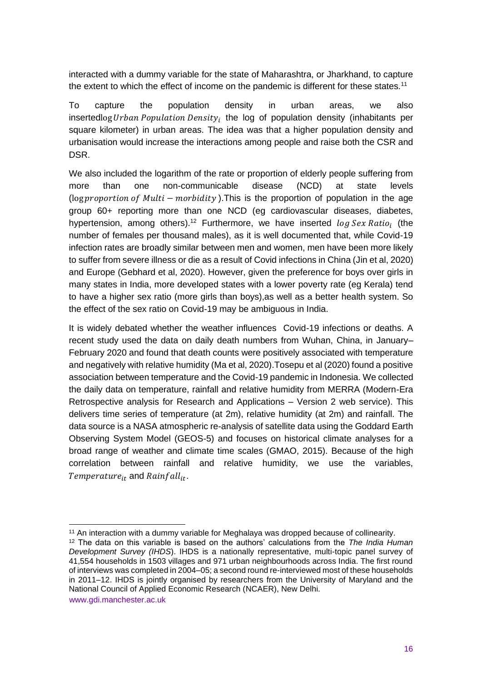interacted with a dummy variable for the state of Maharashtra, or Jharkhand, to capture the extent to which the effect of income on the pandemic is different for these states.<sup>11</sup>

To capture the population density in urban areas, we also insertedlog Urban Population Density<sub>i</sub> the log of population density (inhabitants per square kilometer) in urban areas. The idea was that a higher population density and urbanisation would increase the interactions among people and raise both the CSR and DSR.

We also included the logarithm of the rate or proportion of elderly people suffering from more than one non-communicable disease (NCD) at state levels (log proportion of Multi  $-$  morbidity). This is the proportion of population in the age group 60+ reporting more than one NCD (eg cardiovascular diseases, diabetes, hypertension, among others).<sup>12</sup> Furthermore, we have inserted  $log Sex Ratio_i$  (the number of females per thousand males), as it is well documented that, while Covid-19 infection rates are broadly similar between men and women, men have been more likely to suffer from severe illness or die as a result of Covid infections in China (Jin et al, 2020) and Europe (Gebhard et al, 2020). However, given the preference for boys over girls in many states in India, more developed states with a lower poverty rate (eg Kerala) tend to have a higher sex ratio (more girls than boys),as well as a better health system. So the effect of the sex ratio on Covid-19 may be ambiguous in India.

It is widely debated whether the weather influences Covid-19 infections or deaths. A recent study used the data on daily death numbers from Wuhan, China, in January– February 2020 and found that death counts were positively associated with temperature and negatively with relative humidity (Ma et al, 2020).Tosepu et al (2020) found a positive association between temperature and the Covid-19 pandemic in Indonesia. We collected the daily data on temperature, rainfall and relative humidity from MERRA (Modern-Era Retrospective analysis for Research and Applications – Version 2 web service). This delivers time series of temperature (at 2m), relative humidity (at 2m) and rainfall. The data source is a NASA atmospheric re-analysis of satellite data using the Goddard Earth Observing System Model (GEOS-5) and focuses on historical climate analyses for a broad range of weather and climate time scales (GMAO, 2015). Because of the high correlation between rainfall and relative humidity, we use the variables, Temperature<sub>it</sub> and  $Rainfall_{it}$ .

<sup>&</sup>lt;sup>11</sup> An interaction with a dummy variable for Meghalaya was dropped because of collinearity.

www.gdi.manchester.ac.uk <sup>12</sup> The data on this variable is based on the authors' calculations from the *The India Human Development Survey (IHDS*). IHDS is a nationally representative, multi-topic panel survey of 41,554 households in 1503 villages and 971 urban neighbourhoods across India. The first round of interviews was completed in 2004–05; a second round re-interviewed most of these households in 2011–12. IHDS is jointly organised by researchers from the University of Maryland and the National Council of Applied Economic Research (NCAER), New Delhi.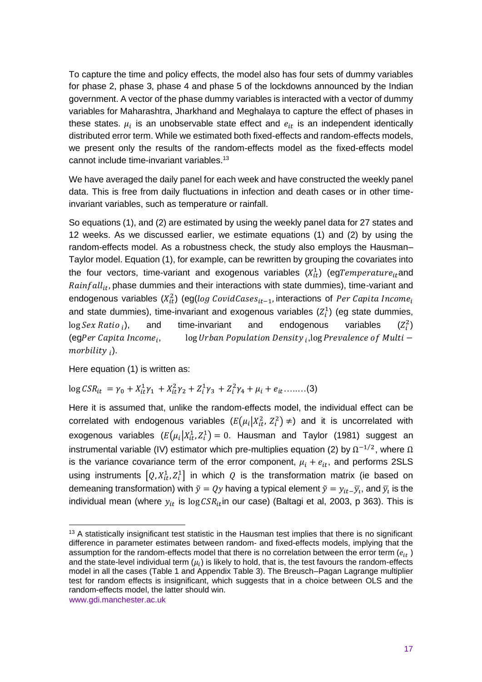To capture the time and policy effects, the model also has four sets of dummy variables for phase 2, phase 3, phase 4 and phase 5 of the lockdowns announced by the Indian government. A vector of the phase dummy variables is interacted with a vector of dummy variables for Maharashtra, Jharkhand and Meghalaya to capture the effect of phases in these states.  $\mu_i$  is an unobservable state effect and  $e_{it}$  is an independent identically distributed error term. While we estimated both fixed-effects and random-effects models, we present only the results of the random-effects model as the fixed-effects model cannot include time-invariant variables.<sup>13</sup>

We have averaged the daily panel for each week and have constructed the weekly panel data. This is free from daily fluctuations in infection and death cases or in other timeinvariant variables, such as temperature or rainfall.

So equations (1), and (2) are estimated by using the weekly panel data for 27 states and 12 weeks. As we discussed earlier, we estimate equations (1) and (2) by using the random-effects model. As a robustness check, the study also employs the Hausman– Taylor model. Equation (1), for example, can be rewritten by grouping the covariates into the four vectors, time-variant and exogenous variables  $(X_{it}^1)$  (egTemperature<sub>it</sub>and  $Rainfall_{it}$ , phase dummies and their interactions with state dummies), time-variant and endogenous variables ( $X_{it}^2$ ) (eg(log CovidCases<sub>it-1</sub>, interactions of Per Capita Income<sub>i</sub> and state dummies), time-invariant and exogenous variables  $(Z_i^1)$  (eg state dummies,  $\log$  Sex Ratio;  $\ln$ and time-invariant and endogenous variables  $\binom{2}{i}$  $(eqPer Capita Income<sub>i</sub>)$ ,  $\qquad \qquad$  log Urban Population Density  $_i$ , log Prevalence of Multi – morbility <sub>i</sub>).

Here equation (1) is written as:

# $\log CSR_{it} = \gamma_0 + X_{it}^1 \gamma_1 + X_{it}^2 \gamma_2 + Z_i^1 \gamma_3 + Z_i^2 \gamma_4 + \mu_i + e_{it} \dots \dots (3)$

Here it is assumed that, unlike the random-effects model, the individual effect can be correlated with endogenous variables  $(E(\mu_i|X_{it}^2, Z_i^2) \neq)$  and it is uncorrelated with exogenous variables  $(E(\mu_i|X_{it}^1,Z_i^1)=0$ . Hausman and Taylor (1981) suggest an instrumental variable (IV) estimator which pre-multiplies equation (2) by  $Ω^{-1/2}$ , where  $Ω$ is the variance covariance term of the error component,  $\mu_i + e_{it}$ , and performs 2SLS using instruments  $[Q, X_{it}^1, Z_i^1]$  in which Q is the transformation matrix (ie based on demeaning transformation) with  $\tilde{y} = Qy$  having a typical element  $\tilde{y} = y_{it-} \overline{y}_t$ , and  $\overline{y}_t$  is the individual mean (where  $y_{it}$  is log  $CSR_{it}$ in our case) (Baltagi et al, 2003, p 363). This is

<sup>&</sup>lt;sup>13</sup> A statistically insignificant test statistic in the Hausman test implies that there is no significant difference in parameter estimates between random- and fixed-effects models, implying that the assumption for the random-effects model that there is no correlation between the error term  $(e_{it})$ and the state-level individual term  $(\mu_i)$  is likely to hold, that is, the test favours the random-effects model in all the cases (Table 1 and Appendix Table 3). The Breusch–Pagan Lagrange multiplier test for random effects is insignificant, which suggests that in a choice between OLS and the random-effects model, the latter should win.

www.gdi.manchester.ac.uk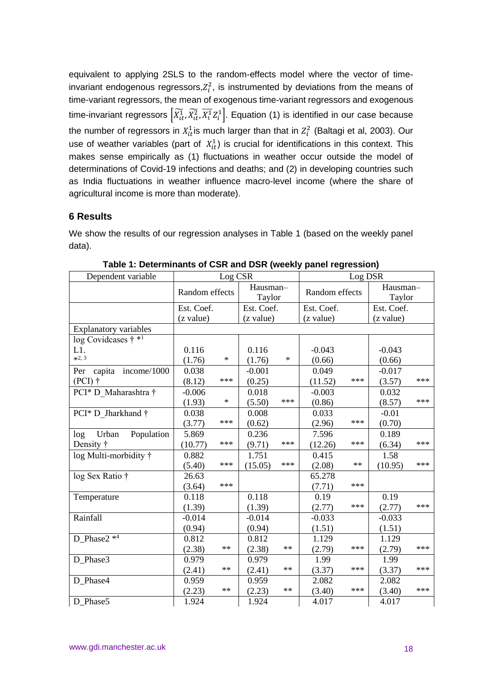equivalent to applying 2SLS to the random-effects model where the vector of timeinvariant endogenous regressors, $Z_i^2$ , is instrumented by deviations from the means of time-variant regressors, the mean of exogenous time-variant regressors and exogenous time-invariant regressors  $\left[\widetilde{X^1_{tt}},\widetilde{X^2_{tt}},\overline{X^1_t}Z^1_t\right]$ . Equation (1) is identified in our case because the number of regressors in  $X_{it}^1$ is much larger than that in  $Z_i^2$  (Baltagi et al, 2003). Our use of weather variables (part of  $X_{it}^1$ ) is crucial for identifications in this context. This makes sense empirically as (1) fluctuations in weather occur outside the model of determinations of Covid-19 infections and deaths; and (2) in developing countries such as India fluctuations in weather influence macro-level income (where the share of agricultural income is more than moderate).

#### **6 Results**

We show the results of our regression analyses in Table 1 (based on the weekly panel data).

| Dependent variable                      |                            | Log CSR |            |            | Log DSR        |      |            |     |  |  |
|-----------------------------------------|----------------------------|---------|------------|------------|----------------|------|------------|-----|--|--|
|                                         | Hausman-<br>Random effects |         |            |            | Random effects |      | Hausman-   |     |  |  |
|                                         |                            |         | Taylor     |            |                |      | Taylor     |     |  |  |
|                                         | Est. Coef.                 |         | Est. Coef. |            | Est. Coef.     |      | Est. Coef. |     |  |  |
|                                         | (z value)                  |         | (z value)  |            | (z value)      |      | (z value)  |     |  |  |
| <b>Explanatory variables</b>            |                            |         |            |            |                |      |            |     |  |  |
| log Covidcases $\dagger$ * <sup>1</sup> |                            |         |            |            |                |      |            |     |  |  |
| L1.                                     | 0.116                      |         | 0.116      |            | $-0.043$       |      | $-0.043$   |     |  |  |
| $*2, 3$                                 | (1.76)                     | $\ast$  | (1.76)     | $\ast$     | (0.66)         |      | (0.66)     |     |  |  |
| capita income/ $1000$<br>Per            | 0.038                      |         | $-0.001$   |            | 0.049          |      | $-0.017$   |     |  |  |
| $(PCI)$ †                               | (8.12)                     | ***     | (0.25)     |            | (11.52)        | ***  | (3.57)     | *** |  |  |
| PCI* D Maharashtra †                    | $-0.006$                   |         | 0.018      |            | $-0.003$       |      | 0.032      |     |  |  |
|                                         | (1.93)                     | $\ast$  | (5.50)     | ***        | (0.86)         |      | (8.57)     | *** |  |  |
| PCI* D Jharkhand †                      | 0.038                      |         | 0.008      |            | 0.033          |      | $-0.01$    |     |  |  |
|                                         | (3.77)                     | ***     | (0.62)     |            | (2.96)         | ***  | (0.70)     |     |  |  |
| Population<br>Urban<br>log              | 5.869                      |         | 0.236      |            | 7.596          |      | 0.189      |     |  |  |
| Density †                               | (10.77)                    | ***     | (9.71)     | ***        | (12.26)        | ***  | (6.34)     | *** |  |  |
| log Multi-morbidity †                   | 0.882                      |         | 1.751      |            | 0.415          |      | 1.58       |     |  |  |
|                                         | (5.40)                     | ***     | (15.05)    | ***        | (2.08)         | $**$ | (10.95)    | *** |  |  |
| log Sex Ratio †                         | 26.63                      |         |            |            | 65.278         |      |            |     |  |  |
|                                         | (3.64)                     | ***     |            |            | (7.71)         | ***  |            |     |  |  |
| Temperature                             | 0.118                      |         | 0.118      |            | 0.19           |      | 0.19       |     |  |  |
|                                         | (1.39)                     |         | (1.39)     |            | (2.77)         | ***  | (2.77)     | *** |  |  |
| Rainfall                                | $-0.014$                   |         | $-0.014$   |            | $-0.033$       |      | $-0.033$   |     |  |  |
|                                         | (0.94)                     |         | (0.94)     |            | (1.51)         |      | (1.51)     |     |  |  |
| D Phase2 <sup>*4</sup>                  | 0.812                      |         | 0.812      |            | 1.129          |      | 1.129      |     |  |  |
|                                         | (2.38)                     | $**$    | (2.38)     | $\ast\ast$ | (2.79)         | ***  | (2.79)     | *** |  |  |
| D Phase3                                | 0.979                      |         | 0.979      |            | 1.99           |      | 1.99       |     |  |  |
|                                         | (2.41)                     | $**$    | (2.41)     | $\ast\ast$ | (3.37)         | ***  | (3.37)     | *** |  |  |
| D Phase4                                | 0.959                      |         | 0.959      |            | 2.082          |      | 2.082      |     |  |  |
|                                         | (2.23)                     | **      | (2.23)     | $**$       | (3.40)         | ***  | (3.40)     | *** |  |  |
| D Phase5                                | 1.924                      |         | 1.924      |            | 4.017          |      | 4.017      |     |  |  |

**Table 1: Determinants of CSR and DSR (weekly panel regression)**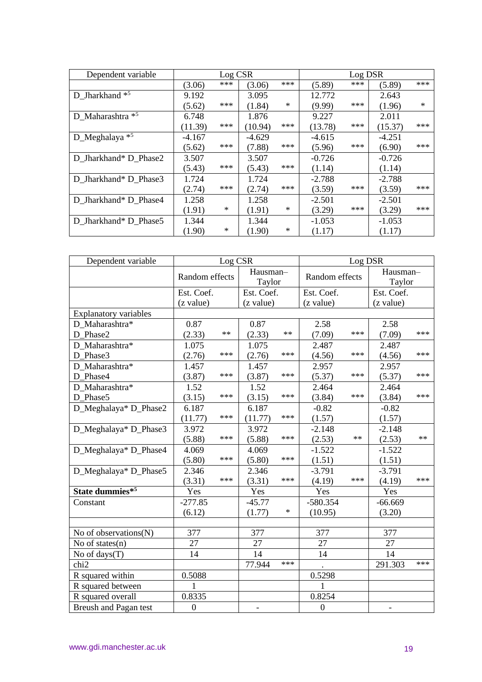| Dependent variable    |          | Log CSR |          |        | Log DSR  |     |          |        |
|-----------------------|----------|---------|----------|--------|----------|-----|----------|--------|
|                       | (3.06)   | ***     | (3.06)   | ***    | (5.89)   | *** | (5.89)   | ***    |
| D Jharkhand *5        | 9.192    |         | 3.095    |        | 12.772   |     | 2.643    |        |
|                       | (5.62)   | ***     | (1.84)   | ∗      | (9.99)   | *** | (1.96)   | $\ast$ |
| D_Maharashtra *5      | 6.748    |         | 1.876    |        | 9.227    |     | 2.011    |        |
|                       | (11.39)  | ***     | (10.94)  | ***    | (13.78)  | *** | (15.37)  | ***    |
| $D_M$ eghalaya *5     | $-4.167$ |         | $-4.629$ |        | $-4.615$ |     | $-4.251$ |        |
|                       | (5.62)   | ***     | (7.88)   | ***    | (5.96)   | *** | (6.90)   | ***    |
| D Jharkhand* D Phase2 | 3.507    |         | 3.507    |        | $-0.726$ |     | $-0.726$ |        |
|                       | (5.43)   | ***     | (5.43)   | ***    | (1.14)   |     | (1.14)   |        |
| D Jharkhand* D Phase3 | 1.724    |         | 1.724    |        | $-2.788$ |     | $-2.788$ |        |
|                       | (2.74)   | ***     | (2.74)   | ***    | (3.59)   | *** | (3.59)   | ***    |
| D Jharkhand* D Phase4 | 1.258    |         | 1.258    |        | $-2.501$ |     | $-2.501$ |        |
|                       | (1.91)   | $\ast$  | (1.91)   | ∗      | (3.29)   | *** | (3.29)   | ***    |
| D Jharkhand* D Phase5 | 1.344    |         | 1.344    |        | $-1.053$ |     | $-1.053$ |        |
|                       | (1.90)   | ∗       | (1.90)   | $\ast$ | (1.17)   |     | (1.17)   |        |

| Dependent variable           |                                      | Log CSR |            |        | Log DSR          |      |                    |     |  |  |
|------------------------------|--------------------------------------|---------|------------|--------|------------------|------|--------------------|-----|--|--|
|                              | Hausman-<br>Random effects<br>Taylor |         |            |        | Random effects   |      | Hausman-<br>Taylor |     |  |  |
|                              | Est. Coef.                           |         | Est. Coef. |        | Est. Coef.       |      | Est. Coef.         |     |  |  |
|                              | (z value)                            |         | (z value)  |        | (z value)        |      | (z value)          |     |  |  |
| <b>Explanatory variables</b> |                                      |         |            |        |                  |      |                    |     |  |  |
| D Maharashtra*               | 0.87                                 |         | 0.87       |        | 2.58             |      | 2.58               |     |  |  |
| D Phase2                     | (2.33)                               | $**$    | (2.33)     | $**$   | (7.09)           | ***  | (7.09)             | *** |  |  |
| D Maharashtra*               | 1.075                                |         | 1.075      |        | 2.487            |      | 2.487              |     |  |  |
| D Phase3                     | (2.76)                               | ***     | (2.76)     | ***    | (4.56)           | ***  | (4.56)             | *** |  |  |
| D Maharashtra*               | 1.457                                |         | 1.457      |        | 2.957            |      | 2.957              |     |  |  |
| D Phase4                     | (3.87)                               | ***     | (3.87)     | ***    | (5.37)           | ***  | (5.37)             | *** |  |  |
| D Maharashtra*               | 1.52                                 |         | 1.52       |        | 2.464            |      | 2.464              |     |  |  |
| D Phase5                     | (3.15)                               | ***     | (3.15)     | ***    | (3.84)           | ***  | (3.84)             | *** |  |  |
| D_Meghalaya* D_Phase2        | 6.187                                |         |            |        | $-0.82$          |      | $-0.82$            |     |  |  |
|                              | ***<br>(11.77)                       |         | (11.77)    | ***    | (1.57)           |      | (1.57)             |     |  |  |
| D_Meghalaya* D_Phase3        | 3.972                                |         | 3.972      |        | $-2.148$         |      | $-2.148$           |     |  |  |
|                              | (5.88)                               | ***     | (5.88)     | ***    | (2.53)           | $**$ | (2.53)             | **  |  |  |
| D_Meghalaya* D_Phase4        | 4.069                                |         | 4.069      |        | $-1.522$         |      | $-1.522$           |     |  |  |
|                              | (5.80)                               | ***     | (5.80)     | ***    | (1.51)           |      | (1.51)             |     |  |  |
| D_Meghalaya* D_Phase5        | 2.346                                |         | 2.346      |        | $-3.791$         |      | $-3.791$           |     |  |  |
|                              | (3.31)                               | ***     | (3.31)     | ***    | (4.19)           | ***  | (4.19)             | *** |  |  |
| State dummies*5              | Yes                                  |         | Yes        |        | Yes              |      | Yes                |     |  |  |
| Constant                     | $-277.85$                            |         | $-45.77$   |        | $-580.354$       |      | $-66.669$          |     |  |  |
|                              | (6.12)                               |         | (1.77)     | $\ast$ | (10.95)          |      | (3.20)             |     |  |  |
|                              |                                      |         |            |        |                  |      |                    |     |  |  |
| No of observations(N)        | 377                                  |         | 377        |        | 377              |      | 377                |     |  |  |
| No of states $(n)$           | 27                                   |         | 27         |        | 27               |      | 27                 |     |  |  |
| No of days(T)                | 14                                   |         | 14         |        | 14               |      | 14                 |     |  |  |
| chi <sub>2</sub>             |                                      |         | 77.944     | ***    |                  |      | 291.303            | *** |  |  |
| R squared within             | 0.5088                               |         |            |        | 0.5298           |      |                    |     |  |  |
| R squared between            |                                      |         |            |        |                  |      |                    |     |  |  |
| R squared overall            | 0.8335                               |         |            |        | 0.8254           |      |                    |     |  |  |
| Breush and Pagan test        | $\boldsymbol{0}$                     |         |            |        | $\boldsymbol{0}$ |      |                    |     |  |  |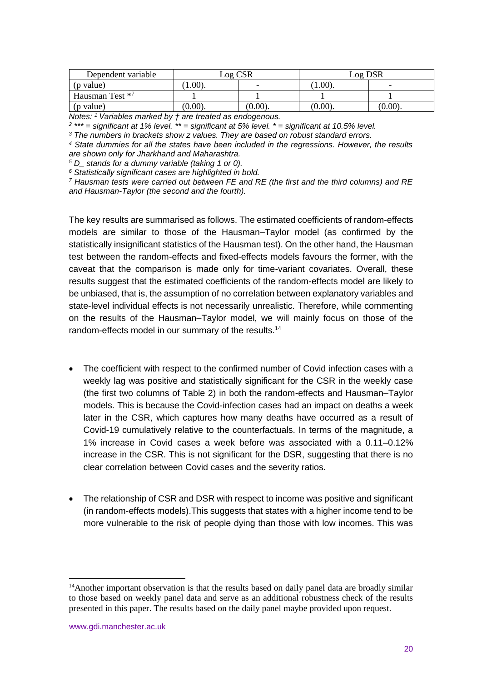| Dependent variable | Log CSR    |            | Log DSR    |            |
|--------------------|------------|------------|------------|------------|
| (p value)          | 1.00.      | -          | 1.00)      | -          |
| Hausman Test *7    |            |            |            |            |
| (p value)          | $(0.00)$ . | $(0.00)$ . | $(0.00)$ . | $(0.00)$ . |

*Notes: <sup>1</sup>Variables marked by † are treated as endogenous.* 

*2 \*\*\* = significant at 1% level. \*\* = significant at 5% level. \* = significant at 10.5% level.*

*<sup>3</sup> The numbers in brackets show z values. They are based on robust standard errors.*

*<sup>4</sup> State dummies for all the states have been included in the regressions. However, the results are shown only for Jharkhand and Maharashtra.*

*<sup>5</sup> D\_ stands for a dummy variable (taking 1 or 0).*

*<sup>6</sup> Statistically significant cases are highlighted in bold.*

*<sup>7</sup> Hausman tests were carried out between FE and RE (the first and the third columns) and RE and Hausman-Taylor (the second and the fourth).*

The key results are summarised as follows. The estimated coefficients of random-effects models are similar to those of the Hausman–Taylor model (as confirmed by the statistically insignificant statistics of the Hausman test). On the other hand, the Hausman test between the random-effects and fixed-effects models favours the former, with the caveat that the comparison is made only for time-variant covariates. Overall, these results suggest that the estimated coefficients of the random-effects model are likely to be unbiased, that is, the assumption of no correlation between explanatory variables and state-level individual effects is not necessarily unrealistic. Therefore, while commenting on the results of the Hausman–Taylor model, we will mainly focus on those of the random-effects model in our summary of the results.<sup>14</sup>

- The coefficient with respect to the confirmed number of Covid infection cases with a weekly lag was positive and statistically significant for the CSR in the weekly case (the first two columns of Table 2) in both the random-effects and Hausman–Taylor models. This is because the Covid-infection cases had an impact on deaths a week later in the CSR, which captures how many deaths have occurred as a result of Covid-19 cumulatively relative to the counterfactuals. In terms of the magnitude, a 1% increase in Covid cases a week before was associated with a 0.11–0.12% increase in the CSR. This is not significant for the DSR, suggesting that there is no clear correlation between Covid cases and the severity ratios.
- The relationship of CSR and DSR with respect to income was positive and significant (in random-effects models).This suggests that states with a higher income tend to be more vulnerable to the risk of people dying than those with low incomes. This was

<sup>&</sup>lt;sup>14</sup>Another important observation is that the results based on daily panel data are broadly similar to those based on weekly panel data and serve as an additional robustness check of the results presented in this paper. The results based on the daily panel maybe provided upon request.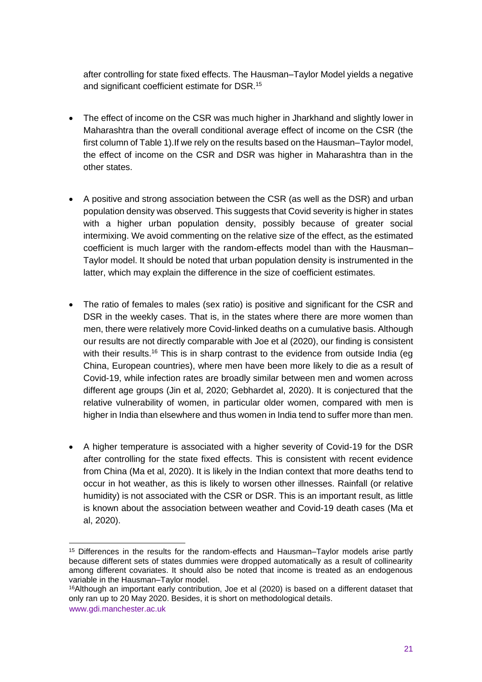after controlling for state fixed effects. The Hausman–Taylor Model yields a negative and significant coefficient estimate for DSR.<sup>15</sup>

- The effect of income on the CSR was much higher in Jharkhand and slightly lower in Maharashtra than the overall conditional average effect of income on the CSR (the first column of Table 1).If we rely on the results based on the Hausman–Taylor model, the effect of income on the CSR and DSR was higher in Maharashtra than in the other states.
- A positive and strong association between the CSR (as well as the DSR) and urban population density was observed. This suggests that Covid severity is higher in states with a higher urban population density, possibly because of greater social intermixing. We avoid commenting on the relative size of the effect, as the estimated coefficient is much larger with the random-effects model than with the Hausman– Taylor model. It should be noted that urban population density is instrumented in the latter, which may explain the difference in the size of coefficient estimates.
- The ratio of females to males (sex ratio) is positive and significant for the CSR and DSR in the weekly cases. That is, in the states where there are more women than men, there were relatively more Covid-linked deaths on a cumulative basis. Although our results are not directly comparable with Joe et al (2020), our finding is consistent with their results.<sup>16</sup> This is in sharp contrast to the evidence from outside India (eg China, European countries), where men have been more likely to die as a result of Covid-19, while infection rates are broadly similar between men and women across different age groups (Jin et al, 2020; Gebhardet al, 2020). It is conjectured that the relative vulnerability of women, in particular older women, compared with men is higher in India than elsewhere and thus women in India tend to suffer more than men.
- A higher temperature is associated with a higher severity of Covid-19 for the DSR after controlling for the state fixed effects. This is consistent with recent evidence from China (Ma et al, 2020). It is likely in the Indian context that more deaths tend to occur in hot weather, as this is likely to worsen other illnesses. Rainfall (or relative humidity) is not associated with the CSR or DSR. This is an important result, as little is known about the association between weather and Covid-19 death cases (Ma et al, 2020).

<sup>15</sup> Differences in the results for the random-effects and Hausman–Taylor models arise partly because different sets of states dummies were dropped automatically as a result of collinearity among different covariates. It should also be noted that income is treated as an endogenous variable in the Hausman–Taylor model.

www.gdi.manchester.ac.uk <sup>16</sup>Although an important early contribution, Joe et al (2020) is based on a different dataset that only ran up to 20 May 2020. Besides, it is short on methodological details.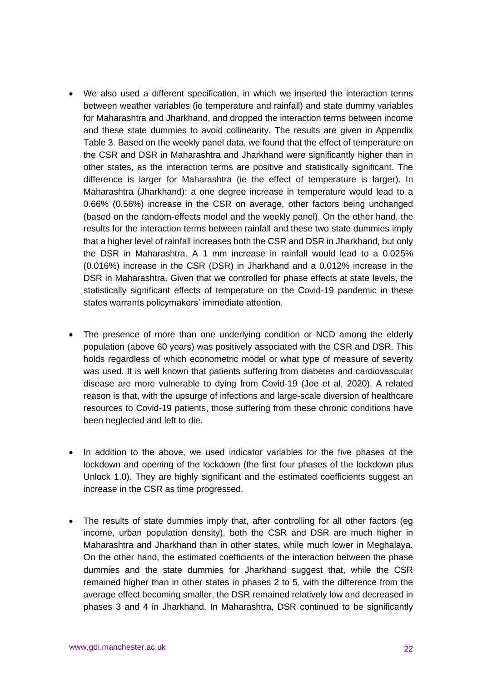- We also used a different specification, in which we inserted the interaction terms between weather variables (ie temperature and rainfall) and state dummy variables for Maharashtra and Jharkhand, and dropped the interaction terms between income and these state dummies to avoid collinearity. The results are given in Appendix Table 3. Based on the weekly panel data, we found that the effect of temperature on the CSR and DSR in Maharashtra and Jharkhand were significantly higher than in other states, as the interaction terms are positive and statistically significant. The difference is larger for Maharashtra (ie the effect of temperature is larger). In Maharashtra (Jharkhand): a one degree increase in temperature would lead to a 0.66% (0.56%) increase in the CSR on average, other factors being unchanged (based on the random-effects model and the weekly panel). On the other hand, the results for the interaction terms between rainfall and these two state dummies imply that a higher level of rainfall increases both the CSR and DSR in Jharkhand, but only the DSR in Maharashtra. A 1 mm increase in rainfall would lead to a 0.025% (0.016%) increase in the CSR (DSR) in Jharkhand and a 0.012% increase in the DSR in Maharashtra. Given that we controlled for phase effects at state levels, the statistically significant effects of temperature on the Covid-19 pandemic in these states warrants policymakers' immediate attention.
- The presence of more than one underlying condition or NCD among the elderly population (above 60 years) was positively associated with the CSR and DSR. This holds regardless of which econometric model or what type of measure of severity was used. It is well known that patients suffering from diabetes and cardiovascular disease are more vulnerable to dying from Covid-19 (Joe et al, 2020). A related reason is that, with the upsurge of infections and large-scale diversion of healthcare resources to Covid-19 patients, those suffering from these chronic conditions have been neglected and left to die.
- In addition to the above, we used indicator variables for the five phases of the lockdown and opening of the lockdown (the first four phases of the lockdown plus Unlock 1.0). They are highly significant and the estimated coefficients suggest an increase in the CSR as time progressed.
- The results of state dummies imply that, after controlling for all other factors (eq income, urban population density), both the CSR and DSR are much higher in Maharashtra and Jharkhand than in other states, while much lower in Meghalaya. On the other hand, the estimated coefficients of the interaction between the phase dummies and the state dummies for Jharkhand suggest that, while the CSR remained higher than in other states in phases 2 to 5, with the difference from the average effect becoming smaller, the DSR remained relatively low and decreased in phases 3 and 4 in Jharkhand. In Maharashtra, DSR continued to be significantly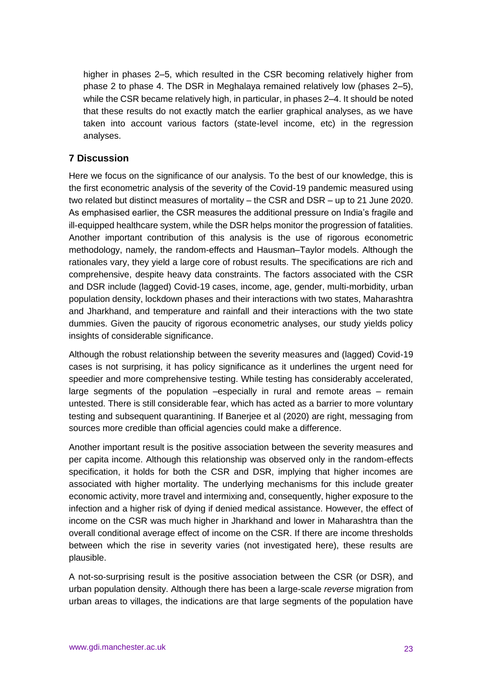higher in phases 2–5, which resulted in the CSR becoming relatively higher from phase 2 to phase 4. The DSR in Meghalaya remained relatively low (phases 2–5), while the CSR became relatively high, in particular, in phases 2–4. It should be noted that these results do not exactly match the earlier graphical analyses, as we have taken into account various factors (state-level income, etc) in the regression analyses.

# **7 Discussion**

Here we focus on the significance of our analysis. To the best of our knowledge, this is the first econometric analysis of the severity of the Covid-19 pandemic measured using two related but distinct measures of mortality – the CSR and DSR – up to 21 June 2020. As emphasised earlier, the CSR measures the additional pressure on India's fragile and ill-equipped healthcare system, while the DSR helps monitor the progression of fatalities. Another important contribution of this analysis is the use of rigorous econometric methodology, namely, the random-effects and Hausman–Taylor models. Although the rationales vary, they yield a large core of robust results. The specifications are rich and comprehensive, despite heavy data constraints. The factors associated with the CSR and DSR include (lagged) Covid-19 cases, income, age, gender, multi-morbidity, urban population density, lockdown phases and their interactions with two states, Maharashtra and Jharkhand, and temperature and rainfall and their interactions with the two state dummies. Given the paucity of rigorous econometric analyses, our study yields policy insights of considerable significance.

Although the robust relationship between the severity measures and (lagged) Covid-19 cases is not surprising, it has policy significance as it underlines the urgent need for speedier and more comprehensive testing. While testing has considerably accelerated, large segments of the population –especially in rural and remote areas – remain untested. There is still considerable fear, which has acted as a barrier to more voluntary testing and subsequent quarantining. If Banerjee et al (2020) are right, messaging from sources more credible than official agencies could make a difference.

Another important result is the positive association between the severity measures and per capita income. Although this relationship was observed only in the random-effects specification, it holds for both the CSR and DSR, implying that higher incomes are associated with higher mortality. The underlying mechanisms for this include greater economic activity, more travel and intermixing and, consequently, higher exposure to the infection and a higher risk of dying if denied medical assistance. However, the effect of income on the CSR was much higher in Jharkhand and lower in Maharashtra than the overall conditional average effect of income on the CSR. If there are income thresholds between which the rise in severity varies (not investigated here), these results are plausible.

A not-so-surprising result is the positive association between the CSR (or DSR), and urban population density. Although there has been a large-scale *reverse* migration from urban areas to villages, the indications are that large segments of the population have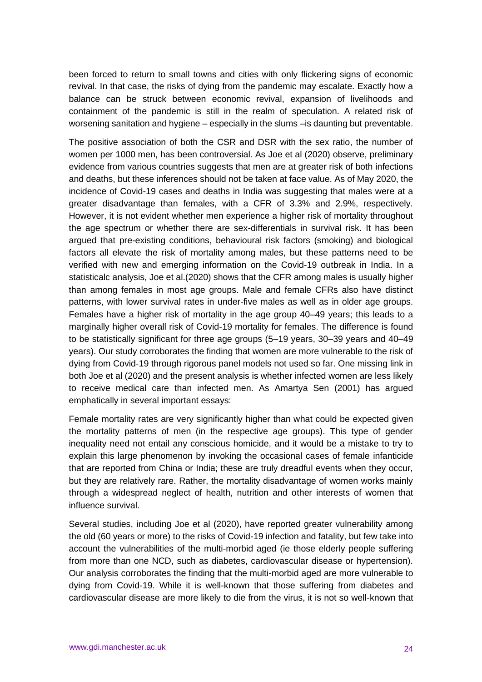been forced to return to small towns and cities with only flickering signs of economic revival. In that case, the risks of dying from the pandemic may escalate. Exactly how a balance can be struck between economic revival, expansion of livelihoods and containment of the pandemic is still in the realm of speculation. A related risk of worsening sanitation and hygiene – especially in the slums –is daunting but preventable.

The positive association of both the CSR and DSR with the sex ratio, the number of women per 1000 men, has been controversial. As Joe et al (2020) observe, preliminary evidence from various countries suggests that men are at greater risk of both infections and deaths, but these inferences should not be taken at face value. As of May 2020, the incidence of Covid-19 cases and deaths in India was suggesting that males were at a greater disadvantage than females, with a CFR of 3.3% and 2.9%, respectively. However, it is not evident whether men experience a higher risk of mortality throughout the age spectrum or whether there are sex-differentials in survival risk. It has been argued that pre-existing conditions, behavioural risk factors (smoking) and biological factors all elevate the risk of mortality among males, but these patterns need to be verified with new and emerging information on the Covid-19 outbreak in India. In a statisticalc analysis, Joe et al.(2020) shows that the CFR among males is usually higher than among females in most age groups. Male and female CFRs also have distinct patterns, with lower survival rates in under-five males as well as in older age groups. Females have a higher risk of mortality in the age group 40–49 years; this leads to a marginally higher overall risk of Covid-19 mortality for females. The difference is found to be statistically significant for three age groups (5–19 years, 30–39 years and 40–49 years). Our study corroborates the finding that women are more vulnerable to the risk of dying from Covid-19 through rigorous panel models not used so far. One missing link in both Joe et al (2020) and the present analysis is whether infected women are less likely to receive medical care than infected men. As Amartya Sen (2001) has argued emphatically in several important essays:

Female mortality rates are very significantly higher than what could be expected given the mortality patterns of men (in the respective age groups). This type of gender inequality need not entail any conscious homicide, and it would be a mistake to try to explain this large phenomenon by invoking the occasional cases of female infanticide that are reported from China or India; these are truly dreadful events when they occur, but they are relatively rare. Rather, the mortality disadvantage of women works mainly through a widespread neglect of health, nutrition and other interests of women that influence survival.

Several studies, including Joe et al (2020), have reported greater vulnerability among the old (60 years or more) to the risks of Covid-19 infection and fatality, but few take into account the vulnerabilities of the multi-morbid aged (ie those elderly people suffering from more than one NCD, such as diabetes, cardiovascular disease or hypertension). Our analysis corroborates the finding that the multi-morbid aged are more vulnerable to dying from Covid-19. While it is well-known that those suffering from diabetes and cardiovascular disease are more likely to die from the virus, it is not so well-known that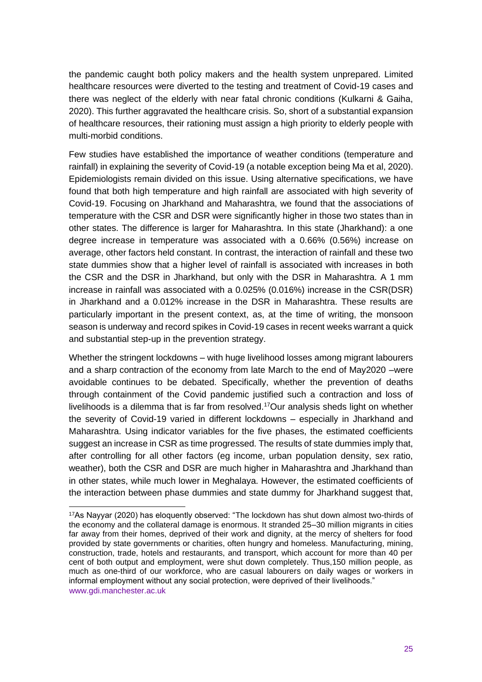the pandemic caught both policy makers and the health system unprepared. Limited healthcare resources were diverted to the testing and treatment of Covid-19 cases and there was neglect of the elderly with near fatal chronic conditions (Kulkarni & Gaiha, 2020). This further aggravated the healthcare crisis. So, short of a substantial expansion of healthcare resources, their rationing must assign a high priority to elderly people with multi-morbid conditions.

Few studies have established the importance of weather conditions (temperature and rainfall) in explaining the severity of Covid-19 (a notable exception being Ma et al, 2020). Epidemiologists remain divided on this issue. Using alternative specifications, we have found that both high temperature and high rainfall are associated with high severity of Covid-19. Focusing on Jharkhand and Maharashtra, we found that the associations of temperature with the CSR and DSR were significantly higher in those two states than in other states. The difference is larger for Maharashtra. In this state (Jharkhand): a one degree increase in temperature was associated with a 0.66% (0.56%) increase on average, other factors held constant. In contrast, the interaction of rainfall and these two state dummies show that a higher level of rainfall is associated with increases in both the CSR and the DSR in Jharkhand, but only with the DSR in Maharashtra. A 1 mm increase in rainfall was associated with a 0.025% (0.016%) increase in the CSR(DSR) in Jharkhand and a 0.012% increase in the DSR in Maharashtra. These results are particularly important in the present context, as, at the time of writing, the monsoon season is underway and record spikes in Covid-19 cases in recent weeks warrant a quick and substantial step-up in the prevention strategy.

Whether the stringent lockdowns – with huge livelihood losses among migrant labourers and a sharp contraction of the economy from late March to the end of May2020 –were avoidable continues to be debated. Specifically, whether the prevention of deaths through containment of the Covid pandemic justified such a contraction and loss of livelihoods is a dilemma that is far from resolved.<sup>17</sup>Our analysis sheds light on whether the severity of Covid-19 varied in different lockdowns – especially in Jharkhand and Maharashtra. Using indicator variables for the five phases, the estimated coefficients suggest an increase in CSR as time progressed. The results of state dummies imply that, after controlling for all other factors (eg income, urban population density, sex ratio, weather), both the CSR and DSR are much higher in Maharashtra and Jharkhand than in other states, while much lower in Meghalaya. However, the estimated coefficients of the interaction between phase dummies and state dummy for Jharkhand suggest that,

www.gdi.manchester.ac.uk <sup>17</sup>As Nayyar (2020) has eloquently observed: "The lockdown has shut down almost two-thirds of the economy and the collateral damage is enormous. It stranded 25–30 million migrants in cities far away from their homes, deprived of their work and dignity, at the mercy of shelters for food provided by state governments or charities, often hungry and homeless. Manufacturing, mining, construction, trade, hotels and restaurants, and transport, which account for more than 40 per cent of both output and employment, were shut down completely. Thus,150 million people, as much as one-third of our workforce, who are casual labourers on daily wages or workers in informal employment without any social protection, were deprived of their livelihoods."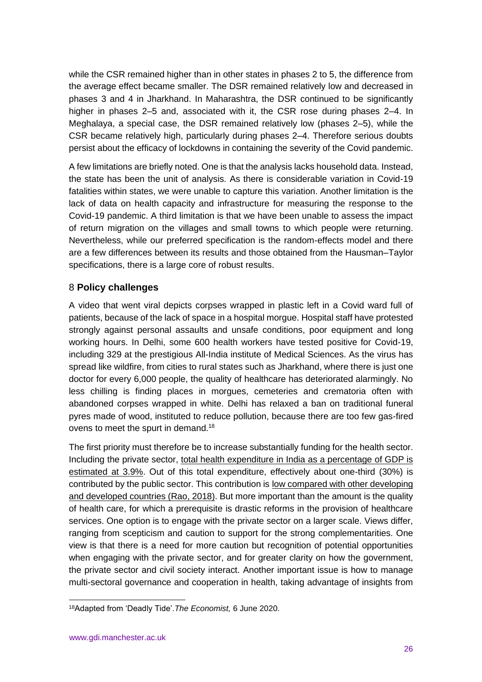while the CSR remained higher than in other states in phases 2 to 5, the difference from the average effect became smaller. The DSR remained relatively low and decreased in phases 3 and 4 in Jharkhand. In Maharashtra, the DSR continued to be significantly higher in phases 2–5 and, associated with it, the CSR rose during phases 2–4. In Meghalaya, a special case, the DSR remained relatively low (phases 2–5), while the CSR became relatively high, particularly during phases 2–4. Therefore serious doubts persist about the efficacy of lockdowns in containing the severity of the Covid pandemic.

A few limitations are briefly noted. One is that the analysis lacks household data. Instead, the state has been the unit of analysis. As there is considerable variation in Covid-19 fatalities within states, we were unable to capture this variation. Another limitation is the lack of data on health capacity and infrastructure for measuring the response to the Covid-19 pandemic. A third limitation is that we have been unable to assess the impact of return migration on the villages and small towns to which people were returning. Nevertheless, while our preferred specification is the random-effects model and there are a few differences between its results and those obtained from the Hausman–Taylor specifications, there is a large core of robust results.

# 8 **Policy challenges**

A video that went viral depicts corpses wrapped in plastic left in a Covid ward full of patients, because of the lack of space in a hospital morgue. Hospital staff have protested strongly against personal assaults and unsafe conditions, poor equipment and long working hours. In Delhi, some 600 health workers have tested positive for Covid-19, including 329 at the prestigious All-India institute of Medical Sciences. As the virus has spread like wildfire, from cities to rural states such as Jharkhand, where there is just one doctor for every 6,000 people, the quality of healthcare has deteriorated alarmingly. No less chilling is finding places in morgues, cemeteries and crematoria often with abandoned corpses wrapped in white. Delhi has relaxed a ban on traditional funeral pyres made of wood, instituted to reduce pollution, because there are too few gas-fired ovens to meet the spurt in demand.<sup>18</sup>

The first priority must therefore be to increase substantially funding for the health sector. Including the private sector, [total health expenditure in India as a percentage of GDP is](https://mohfw.gov.in/newshighlights/national-health-accounts-estimates-india-2014-15)  [estimated at 3.9%.](https://mohfw.gov.in/newshighlights/national-health-accounts-estimates-india-2014-15) Out of this total expenditure, effectively about one-third (30%) is contributed by the public sector. This contribution is [low compared with other developing](http://164.100.47.190/loksabhaquestions/annex/9/AU2201.pdf)  [and developed countries](http://164.100.47.190/loksabhaquestions/annex/9/AU2201.pdf) (Rao, 2018). But more important than the amount is the quality of health care, for which a prerequisite is drastic reforms in the provision of healthcare services. One option is to engage with the private sector on a larger scale. Views differ, ranging from scepticism and caution to support for the strong complementarities. One view is that there is a need for more caution but recognition of potential opportunities when engaging with the private sector, and for greater clarity on how the government, the private sector and civil society interact. Another important issue is how to manage multi-sectoral governance and cooperation in health, taking advantage of insights from

<sup>18</sup>Adapted from 'Deadly Tide'.*The Economist,* 6 June 2020.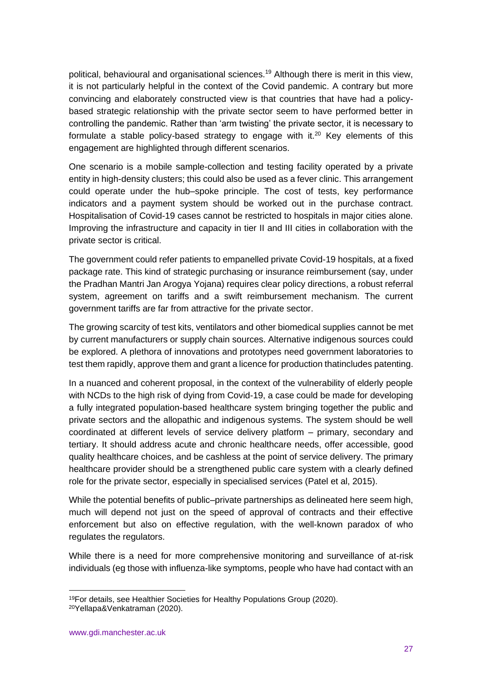political, behavioural and organisational sciences.<sup>19</sup> Although there is merit in this view, it is not particularly helpful in the context of the Covid pandemic. A contrary but more convincing and elaborately constructed view is that countries that have had a policybased strategic relationship with the private sector seem to have performed better in controlling the pandemic. Rather than 'arm twisting' the private sector, it is necessary to formulate a stable policy-based strategy to engage with it.<sup>20</sup> Key elements of this engagement are highlighted through different scenarios.

One scenario is a mobile sample-collection and testing facility operated by a private entity in high-density clusters; this could also be used as a fever clinic. This arrangement could operate under the hub–spoke principle. The cost of tests, key performance indicators and a payment system should be worked out in the purchase contract. Hospitalisation of Covid-19 cases cannot be restricted to hospitals in major cities alone. Improving the infrastructure and capacity in tier II and III cities in collaboration with the private sector is critical.

The government could refer patients to empanelled private Covid-19 hospitals, at a fixed package rate. This kind of strategic purchasing or insurance reimbursement (say, under the Pradhan Mantri Jan Arogya Yojana) requires clear policy directions, a robust referral system, agreement on tariffs and a swift reimbursement mechanism. The current government tariffs are far from attractive for the private sector.

The growing scarcity of test kits, ventilators and other biomedical supplies cannot be met by current manufacturers or supply chain sources. Alternative indigenous sources could be explored. A plethora of innovations and prototypes need government laboratories to test them rapidly, approve them and grant a licence for production thatincludes patenting.

In a nuanced and coherent proposal, in the context of the vulnerability of elderly people with NCDs to the high risk of dying from Covid-19, a case could be made for developing a fully integrated population-based healthcare system bringing together the public and private sectors and the allopathic and indigenous systems. The system should be well coordinated at different levels of service delivery platform – primary, secondary and tertiary. It should address acute and chronic healthcare needs, offer accessible, good quality healthcare choices, and be cashless at the point of service delivery. The primary healthcare provider should be a strengthened public care system with a clearly defined role for the private sector, especially in specialised services (Patel et al, 2015).

While the potential benefits of public–private partnerships as delineated here seem high, much will depend not just on the speed of approval of contracts and their effective enforcement but also on effective regulation, with the well-known paradox of who regulates the regulators.

While there is a need for more comprehensive monitoring and surveillance of at-risk individuals (eg those with influenza-like symptoms, people who have had contact with an

<sup>19</sup>For details, see Healthier Societies for Healthy Populations Group (2020). 20Yellapa&Venkatraman (2020).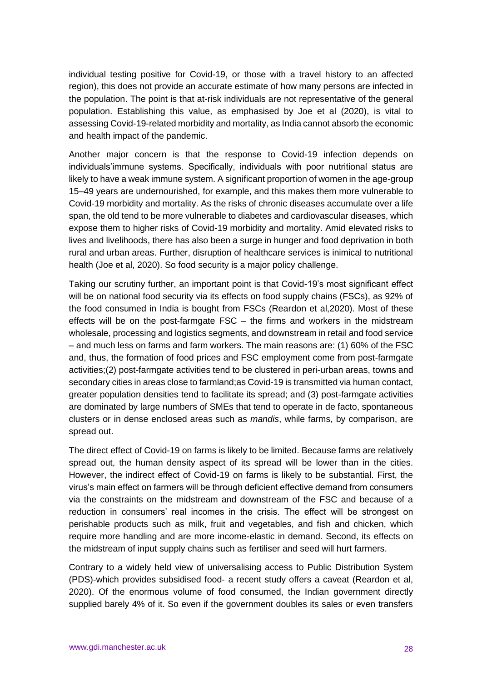individual testing positive for Covid-19, or those with a travel history to an affected region), this does not provide an accurate estimate of how many persons are infected in the population. The point is that at-risk individuals are not representative of the general population. Establishing this value, as emphasised by Joe et al (2020), is vital to assessing Covid-19-related morbidity and mortality, as India cannot absorb the economic and health impact of the pandemic.

Another major concern is that the response to Covid-19 infection depends on individuals'immune systems. Specifically, individuals with poor nutritional status are likely to have a weak immune system. A significant proportion of women in the age-group 15–49 years are undernourished, for example, and this makes them more vulnerable to Covid-19 morbidity and mortality. As the risks of chronic diseases accumulate over a life span, the old tend to be more vulnerable to diabetes and cardiovascular diseases, which expose them to higher risks of Covid-19 morbidity and mortality. Amid elevated risks to lives and livelihoods, there has also been a surge in hunger and food deprivation in both rural and urban areas. Further, disruption of healthcare services is inimical to nutritional health (Joe et al, 2020). So food security is a major policy challenge.

Taking our scrutiny further, an important point is that Covid-19's most significant effect will be on national food security via its effects on food supply chains (FSCs), as 92% of the food consumed in India is bought from FSCs (Reardon et al,2020). Most of these effects will be on the post-farmgate FSC – the firms and workers in the midstream wholesale, processing and logistics segments, and downstream in retail and food service – and much less on farms and farm workers. The main reasons are: (1) 60% of the FSC and, thus, the formation of food prices and FSC employment come from post-farmgate activities;(2) post-farmgate activities tend to be clustered in peri-urban areas, towns and secondary cities in areas close to farmland;as Covid-19 is transmitted via human contact, greater population densities tend to facilitate its spread; and (3) post-farmgate activities are dominated by large numbers of SMEs that tend to operate in de facto, spontaneous clusters or in dense enclosed areas such as *mandis*, while farms, by comparison, are spread out.

The direct effect of Covid-19 on farms is likely to be limited. Because farms are relatively spread out, the human density aspect of its spread will be lower than in the cities. However, the indirect effect of Covid-19 on farms is likely to be substantial. First, the virus's main effect on farmers will be through deficient effective demand from consumers via the constraints on the midstream and downstream of the FSC and because of a reduction in consumers' real incomes in the crisis. The effect will be strongest on perishable products such as milk, fruit and vegetables, and fish and chicken, which require more handling and are more income-elastic in demand. Second, its effects on the midstream of input supply chains such as fertiliser and seed will hurt farmers.

Contrary to a widely held view of universalising access to Public Distribution System (PDS)-which provides subsidised food- a recent study offers a caveat (Reardon et al, 2020). Of the enormous volume of food consumed, the Indian government directly supplied barely 4% of it. So even if the government doubles its sales or even transfers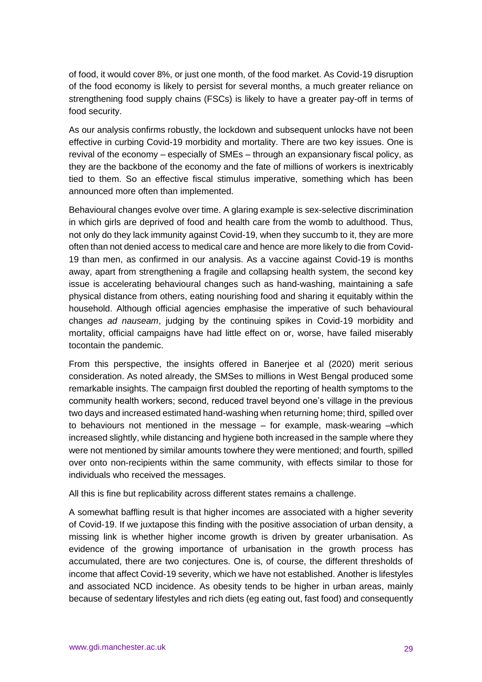of food, it would cover 8%, or just one month, of the food market. As Covid-19 disruption of the food economy is likely to persist for several months, a much greater reliance on strengthening food supply chains (FSCs) is likely to have a greater pay-off in terms of food security.

As our analysis confirms robustly, the lockdown and subsequent unlocks have not been effective in curbing Covid-19 morbidity and mortality. There are two key issues. One is revival of the economy – especially of SMEs – through an expansionary fiscal policy, as they are the backbone of the economy and the fate of millions of workers is inextricably tied to them. So an effective fiscal stimulus imperative, something which has been announced more often than implemented.

Behavioural changes evolve over time. A glaring example is sex-selective discrimination in which girls are deprived of food and health care from the womb to adulthood. Thus, not only do they lack immunity against Covid-19, when they succumb to it, they are more often than not denied access to medical care and hence are more likely to die from Covid-19 than men, as confirmed in our analysis. As a vaccine against Covid-19 is months away, apart from strengthening a fragile and collapsing health system, the second key issue is accelerating behavioural changes such as hand-washing, maintaining a safe physical distance from others, eating nourishing food and sharing it equitably within the household. Although official agencies emphasise the imperative of such behavioural changes *ad nauseam*, judging by the continuing spikes in Covid-19 morbidity and mortality, official campaigns have had little effect on or, worse, have failed miserably tocontain the pandemic.

From this perspective, the insights offered in Banerjee et al (2020) merit serious consideration. As noted already, the SMSes to millions in West Bengal produced some remarkable insights. The campaign first doubled the reporting of health symptoms to the community health workers; second, reduced travel beyond one's village in the previous two days and increased estimated hand-washing when returning home; third, spilled over to behaviours not mentioned in the message – for example, mask-wearing –which increased slightly, while distancing and hygiene both increased in the sample where they were not mentioned by similar amounts towhere they were mentioned; and fourth, spilled over onto non-recipients within the same community, with effects similar to those for individuals who received the messages.

All this is fine but replicability across different states remains a challenge.

A somewhat baffling result is that higher incomes are associated with a higher severity of Covid-19. If we juxtapose this finding with the positive association of urban density, a missing link is whether higher income growth is driven by greater urbanisation. As evidence of the growing importance of urbanisation in the growth process has accumulated, there are two conjectures. One is, of course, the different thresholds of income that affect Covid-19 severity, which we have not established. Another is lifestyles and associated NCD incidence. As obesity tends to be higher in urban areas, mainly because of sedentary lifestyles and rich diets (eg eating out, fast food) and consequently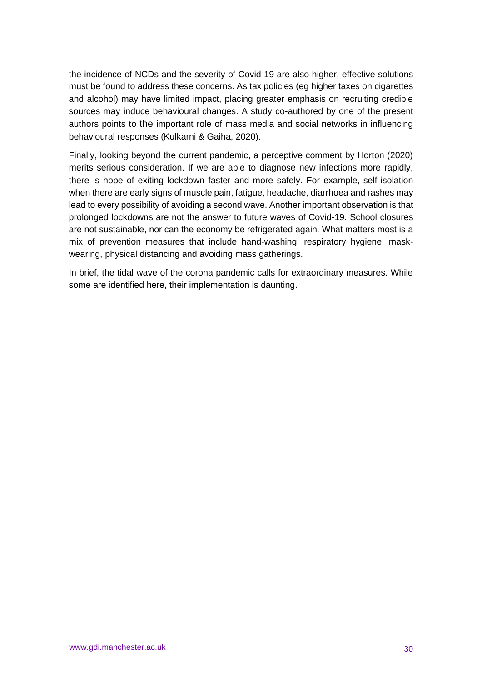the incidence of NCDs and the severity of Covid-19 are also higher, effective solutions must be found to address these concerns. As tax policies (eg higher taxes on cigarettes and alcohol) may have limited impact, placing greater emphasis on recruiting credible sources may induce behavioural changes. A study co-authored by one of the present authors points to the important role of mass media and social networks in influencing behavioural responses (Kulkarni & Gaiha, 2020).

Finally, looking beyond the current pandemic, a perceptive comment by Horton (2020) merits serious consideration. If we are able to diagnose new infections more rapidly, there is hope of exiting lockdown faster and more safely. For example, self-isolation when there are early signs of muscle pain, fatigue, headache, diarrhoea and rashes may lead to every possibility of avoiding a second wave. Another important observation is that prolonged lockdowns are not the answer to future waves of Covid-19. School closures are not sustainable, nor can the economy be refrigerated again. What matters most is a mix of prevention measures that include hand-washing, respiratory hygiene, maskwearing, physical distancing and avoiding mass gatherings.

In brief, the tidal wave of the corona pandemic calls for extraordinary measures. While some are identified here, their implementation is daunting.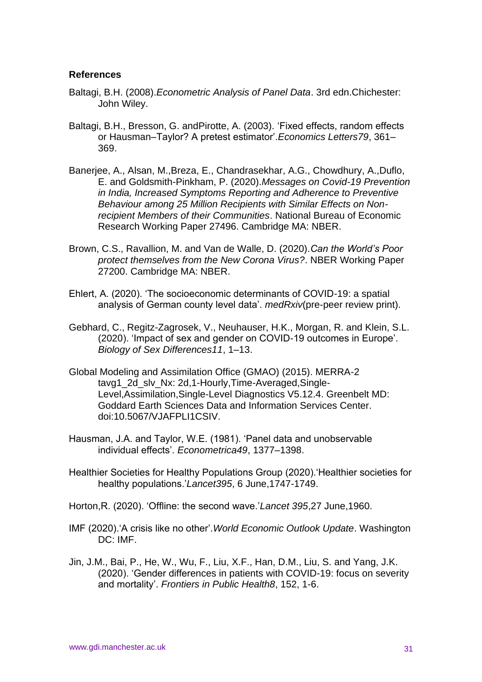#### **References**

- Baltagi, B.H. (2008).*Econometric Analysis of Panel Data*. 3rd edn.Chichester: John Wiley.
- Baltagi, B.H., Bresson, G. andPirotte, A. (2003). 'Fixed effects, random effects or Hausman–Taylor? A pretest estimator'.*Economics Letters79*, 361– 369.
- Banerjee, A., Alsan, M.,Breza, E., Chandrasekhar, A.G., Chowdhury, A.,Duflo, E. and Goldsmith-Pinkham, P. (2020).*Messages on Covid-19 Prevention in India, Increased Symptoms Reporting and Adherence to Preventive Behaviour among 25 Million Recipients with Similar Effects on Nonrecipient Members of their Communities*. National Bureau of Economic Research Working Paper 27496. Cambridge MA: NBER.
- Brown, C.S., Ravallion, M. and Van de Walle, D. (2020).*Can the World's Poor protect themselves from the New Corona Virus?*. NBER Working Paper 27200. Cambridge MA: NBER.
- Ehlert, A. (2020). 'The socioeconomic determinants of COVID-19: a spatial analysis of German county level data'. *medRxiv*(pre-peer review print).
- Gebhard, C., Regitz-Zagrosek, V., Neuhauser, H.K., Morgan, R. and Klein, S.L. (2020). 'Impact of sex and gender on COVID-19 outcomes in Europe'. *Biology of Sex Differences11*, 1–13.
- Global Modeling and Assimilation Office (GMAO) (2015). MERRA-2 tavg1\_2d\_slv\_Nx: 2d,1-Hourly,Time-Averaged,Single-Level,Assimilation,Single-Level Diagnostics V5.12.4. Greenbelt MD: Goddard Earth Sciences Data and Information Services Center. doi:10.5067/VJAFPLI1CSIV.
- Hausman, J.A. and Taylor, W.E. (1981). 'Panel data and unobservable individual effects'. *Econometrica49*, 1377–1398.
- Healthier Societies for Healthy Populations Group (2020).'Healthier societies for healthy populations.'*Lancet395*, 6 June,1747-1749.
- Horton,R. (2020). 'Offline: the second wave.'*Lancet 395*,27 June,1960.
- IMF (2020).'A crisis like no other'.*World Economic Outlook Update*. Washington DC: IMF.
- Jin, J.M., Bai, P., He, W., Wu, F., Liu, X.F., Han, D.M., Liu, S. and Yang, J.K. (2020). 'Gender differences in patients with COVID-19: focus on severity and mortality'. *Frontiers in Public Health8*, 152, 1-6.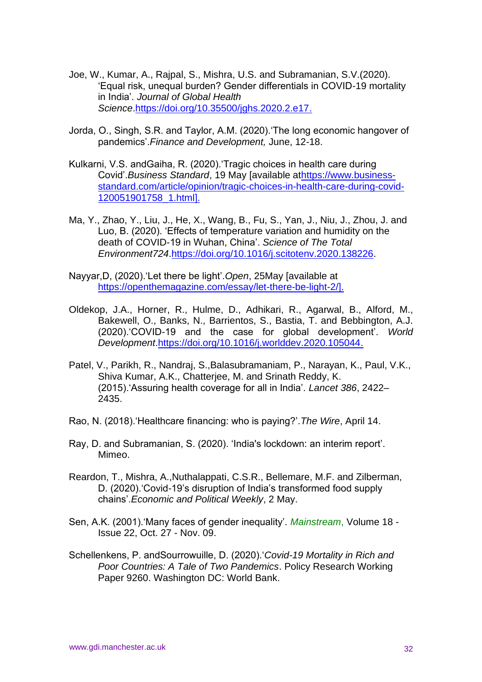- Joe, W., Kumar, A., Rajpal, S., Mishra, U.S. and Subramanian, S.V.(2020). 'Equal risk, unequal burden? Gender differentials in COVID-19 mortality in India'. *Journal of Global Health Science*[.https://doi.org/10.35500/jghs.2020.2.e17.](https://doi.org/10.35500/jghs.2020.2.e17)
- Jorda, O., Singh, S.R. and Taylor, A.M. (2020).'The long economic hangover of pandemics'.*Finance and Development,* June, 12-18.
- Kulkarni, V.S. andGaiha, R. (2020).'Tragic choices in health care during Covid'.*Business Standard*, 19 May [available a[thttps://www.business](https://www.business-standard.com/article/opinion/tragic-choices-in-health-care-during-covid-120051901758_1.html)[standard.com/article/opinion/tragic-choices-in-health-care-during-covid-](https://www.business-standard.com/article/opinion/tragic-choices-in-health-care-during-covid-120051901758_1.html)[120051901758\\_1.html\]](https://www.business-standard.com/article/opinion/tragic-choices-in-health-care-during-covid-120051901758_1.html).
- Ma, Y., Zhao, Y., Liu, J., He, X., Wang, B., Fu, S., Yan, J., Niu, J., Zhou, J. and Luo, B. (2020). 'Effects of temperature variation and humidity on the death of COVID-19 in Wuhan, China'. *Science of The Total Environment724*[.https://doi.org/10.1016/j.scitotenv.2020.138226.](https://doi.org/10.1016/j.scitotenv.2020.138226)
- Nayyar,D, (2020).'Let there be light'.*Open*, 25May [available at [https://openthemagazine.com/essay/let-there-be-light-2/\]](https://openthemagazine.com/essay/let-there-be-light-2/).
- Oldekop, J.A., Horner, R., Hulme, D., Adhikari, R., Agarwal, B., Alford, M., Bakewell, O., Banks, N., Barrientos, S., Bastia, T. and Bebbington, A.J. (2020).'COVID-19 and the case for global development'. *World Development*[.https://doi.org/10.1016/j.worlddev.2020.105044.](https://doi.org/10.1016/j.worlddev.2020.105044)
- Patel, V., Parikh, R., Nandraj, S.,Balasubramaniam, P., Narayan, K., Paul, V.K., Shiva Kumar, A.K., Chatterjee, M. and Srinath Reddy, K. (2015).'Assuring health coverage for all in India'. *Lancet 386*, 2422– 2435.
- Rao, N. (2018).'Healthcare financing: who is paying?'.*The Wire*, April 14.
- Ray, D. and Subramanian, S. (2020). 'India's lockdown: an interim report'. Mimeo.
- Reardon, T., Mishra, A.,Nuthalappati, C.S.R., Bellemare, M.F. and Zilberman, D. (2020).'Covid-19's disruption of India's transformed food supply chains'.*Economic and Political Weekly*, 2 May.
- Sen, A.K. (2001).'Many faces of gender inequality'. *Mainstream*, Volume 18 Issue 22, Oct. 27 - Nov. 09.
- Schellenkens, P. andSourrowuille, D. (2020).'*Covid-19 Mortality in Rich and Poor Countries: A Tale of Two Pandemics*. Policy Research Working Paper 9260. Washington DC: World Bank.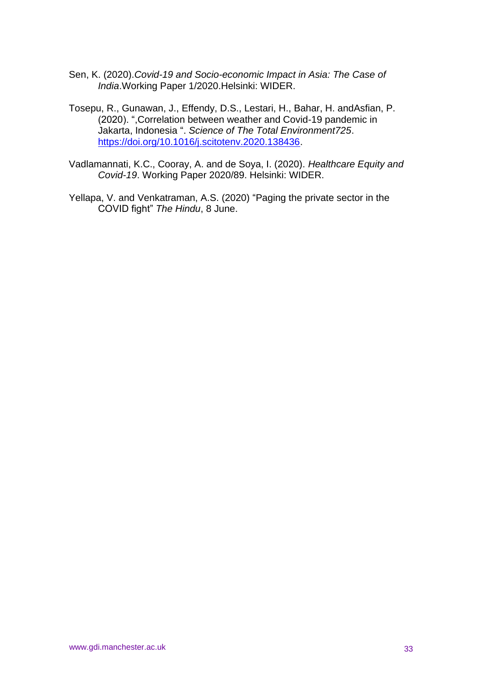- Sen, K. (2020).*Covid-19 and Socio-economic Impact in Asia: The Case of India*.Working Paper 1/2020.Helsinki: WIDER.
- Tosepu, R., Gunawan, J., Effendy, D.S., Lestari, H., Bahar, H. andAsfian, P. (2020). ",Correlation between weather and Covid-19 pandemic in Jakarta, Indonesia ". *Science of The Total Environment725*. [https://doi.org/10.1016/j.scitotenv.2020.138436.](https://doi.org/10.1016/j.scitotenv.2020.138436)
- Vadlamannati, K.C., Cooray, A. and de Soya, I. (2020). *Healthcare Equity and Covid-19*. Working Paper 2020/89. Helsinki: WIDER.
- Yellapa, V. and Venkatraman, A.S. (2020) "Paging the private sector in the COVID fight" *The Hindu*, 8 June.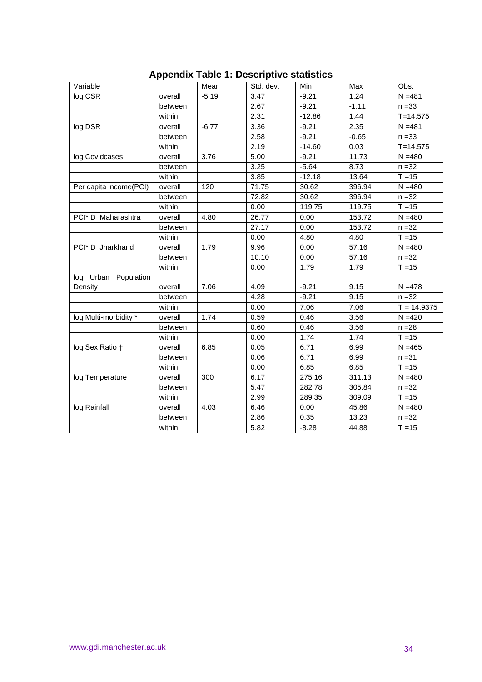| Variable               |         | Mean    | Std. dev. | Min      | Max     | Obs.          |
|------------------------|---------|---------|-----------|----------|---------|---------------|
| log CSR                | overall | $-5.19$ | 3.47      | $-9.21$  | 1.24    | $N = 481$     |
|                        | between |         | 2.67      | $-9.21$  | $-1.11$ | $n = 33$      |
|                        | within  |         | 2.31      | $-12.86$ | 1.44    | $T = 14.575$  |
| log DSR                | overall | $-6.77$ | 3.36      | $-9.21$  | 2.35    | $N = 481$     |
|                        | between |         | 2.58      | $-9.21$  | $-0.65$ | $n = 33$      |
|                        | within  |         | 2.19      | $-14.60$ | 0.03    | $T = 14.575$  |
| log Covidcases         | overall | 3.76    | 5.00      | $-9.21$  | 11.73   | $N = 480$     |
|                        | between |         | 3.25      | $-5.64$  | 8.73    | $n = 32$      |
|                        | within  |         | 3.85      | $-12.18$ | 13.64   | $T = 15$      |
| Per capita income(PCI) | overall | 120     | 71.75     | 30.62    | 396.94  | $N = 480$     |
|                        | between |         | 72.82     | 30.62    | 396.94  | $n = 32$      |
|                        | within  |         | 0.00      | 119.75   | 119.75  | $T = 15$      |
| PCI* D_Maharashtra     | overall | 4.80    | 26.77     | 0.00     | 153.72  | $N = 480$     |
|                        | between |         | 27.17     | 0.00     | 153.72  | $n = 32$      |
|                        | within  |         | 0.00      | 4.80     | 4.80    | $T = 15$      |
| PCI* D_Jharkhand       | overall | 1.79    | 9.96      | 0.00     | 57.16   | $N = 480$     |
|                        | between |         | 10.10     | 0.00     | 57.16   | $n = 32$      |
|                        | within  |         | 0.00      | 1.79     | 1.79    | $T = 15$      |
| log Urban Population   |         |         |           |          |         |               |
| Density                | overall | 7.06    | 4.09      | $-9.21$  | 9.15    | $N = 478$     |
|                        | between |         | 4.28      | $-9.21$  | 9.15    | $n = 32$      |
|                        | within  |         | 0.00      | 7.06     | 7.06    | $T = 14.9375$ |
| log Multi-morbidity *  | overall | 1.74    | 0.59      | 0.46     | 3.56    | $N = 420$     |
|                        | between |         | 0.60      | 0.46     | 3.56    | $n = 28$      |
|                        | within  |         | 0.00      | 1.74     | 1.74    | $T = 15$      |
| log Sex Ratio +        | overall | 6.85    | 0.05      | 6.71     | 6.99    | $N = 465$     |
|                        | between |         | 0.06      | 6.71     | 6.99    | $n = 31$      |
|                        | within  |         | 0.00      | 6.85     | 6.85    | $T = 15$      |
| log Temperature        | overall | 300     | 6.17      | 275.16   | 311.13  | $N = 480$     |
|                        | between |         | 5.47      | 282.78   | 305.84  | $n = 32$      |
|                        | within  |         | 2.99      | 289.35   | 309.09  | $T = 15$      |
| log Rainfall           | overall | 4.03    | 6.46      | 0.00     | 45.86   | $N = 480$     |
|                        | between |         | 2.86      | 0.35     | 13.23   | $n = 32$      |
|                        | within  |         | 5.82      | $-8.28$  | 44.88   | $T = 15$      |

# **Appendix Table 1: Descriptive statistics**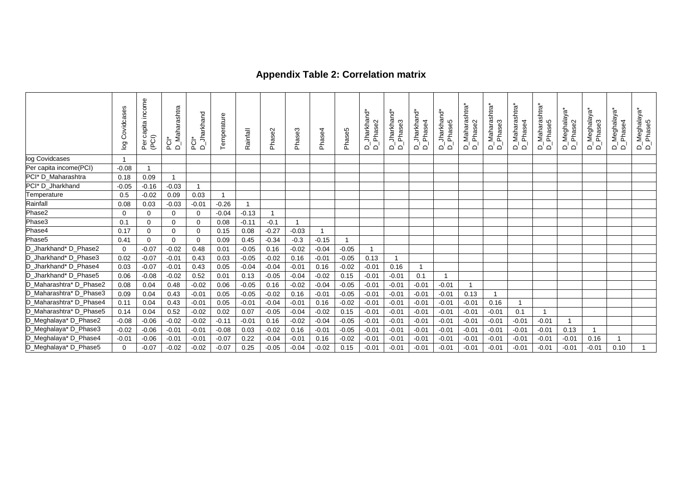# **Appendix Table 2: Correlation matrix**

|                         | Covidcases<br>$\overline{g}$ | income<br>Per capita<br>(PCI) | <b>Maharashtra</b><br>$\overline{5}$ or | Jharkhand<br>ן הָ<br>ב | Temperature    | Rainfall | Phase        | Phase3         | Phase4         | Phase5  | Jharkhand<br>Phase2<br>`ם `ם | Jharkhand<br>Phase3<br>ם ם | Jharkhand*<br>Phase4<br>മ് മ | <b>Jharkhand</b><br>Phase5<br>മ് മ് | -Maharashtra*<br>Phase2<br>മ് മ് | '_Maharashtra*<br>'_Phase3<br>മ് മ് | Maharashtra*<br>Phase4<br>മ് മ് | )_Maharashtra*<br>∩_Phase5<br>മ് മ് | Meghalaya*<br>Phase2<br>മ് മ് | ្លុ<br>Meghalay.<br>Phase3<br>മ് മ | D_Meghalaya*<br>D_Phase4<br>Phase4 | D_Meghalaya*<br>D_Phase5 |
|-------------------------|------------------------------|-------------------------------|-----------------------------------------|------------------------|----------------|----------|--------------|----------------|----------------|---------|------------------------------|----------------------------|------------------------------|-------------------------------------|----------------------------------|-------------------------------------|---------------------------------|-------------------------------------|-------------------------------|------------------------------------|------------------------------------|--------------------------|
| log Covidcases          |                              |                               |                                         |                        |                |          |              |                |                |         |                              |                            |                              |                                     |                                  |                                     |                                 |                                     |                               |                                    |                                    |                          |
| Per capita income(PCI)  | $-0.08$                      |                               |                                         |                        |                |          |              |                |                |         |                              |                            |                              |                                     |                                  |                                     |                                 |                                     |                               |                                    |                                    |                          |
| PCI* D_Maharashtra      | 0.18                         | 0.09                          | $\mathbf{1}$                            |                        |                |          |              |                |                |         |                              |                            |                              |                                     |                                  |                                     |                                 |                                     |                               |                                    |                                    |                          |
| PCI* D_Jharkhand        | $-0.05$                      | $-0.16$                       | $-0.03$                                 | $\mathbf{1}$           |                |          |              |                |                |         |                              |                            |                              |                                     |                                  |                                     |                                 |                                     |                               |                                    |                                    |                          |
| Temperature             | 0.5                          | $-0.02$                       | 0.09                                    | 0.03                   | $\overline{1}$ |          |              |                |                |         |                              |                            |                              |                                     |                                  |                                     |                                 |                                     |                               |                                    |                                    |                          |
| Rainfall                | 0.08                         | 0.03                          | $-0.03$                                 | $-0.01$                | $-0.26$        |          |              |                |                |         |                              |                            |                              |                                     |                                  |                                     |                                 |                                     |                               |                                    |                                    |                          |
| Phase2                  | $\Omega$                     | $\mathbf 0$                   | $\Omega$                                | $\Omega$               | $-0.04$        | $-0.13$  | $\mathbf{1}$ |                |                |         |                              |                            |                              |                                     |                                  |                                     |                                 |                                     |                               |                                    |                                    |                          |
| Phase3                  | 0.1                          | $\mathbf 0$                   | $\Omega$                                | 0                      | 0.08           | $-0.11$  | $-0.1$       | $\overline{1}$ |                |         |                              |                            |                              |                                     |                                  |                                     |                                 |                                     |                               |                                    |                                    |                          |
| Phase4                  | 0.17                         | $\mathbf 0$                   | $\Omega$                                | $\mathbf 0$            | 0.15           | 0.08     | $-0.27$      | $-0.03$        | $\overline{1}$ |         |                              |                            |                              |                                     |                                  |                                     |                                 |                                     |                               |                                    |                                    |                          |
| Phase5                  | 0.41                         | $\mathbf 0$                   | $\mathbf 0$                             | $\mathbf 0$            | 0.09           | 0.45     | $-0.34$      | $-0.3$         | $-0.15$        |         |                              |                            |                              |                                     |                                  |                                     |                                 |                                     |                               |                                    |                                    |                          |
| D_Jharkhand* D_Phase2   | 0                            | $-0.07$                       | $-0.02$                                 | 0.48                   | 0.01           | $-0.05$  | 0.16         | $-0.02$        | $-0.04$        | $-0.05$ |                              |                            |                              |                                     |                                  |                                     |                                 |                                     |                               |                                    |                                    |                          |
| D_Jharkhand* D_Phase3   | 0.02                         | $-0.07$                       | $-0.01$                                 | 0.43                   | 0.03           | $-0.05$  | $-0.02$      | 0.16           | $-0.01$        | $-0.05$ | 0.13                         |                            |                              |                                     |                                  |                                     |                                 |                                     |                               |                                    |                                    |                          |
| D_Jharkhand* D_Phase4   | 0.03                         | $-0.07$                       | $-0.01$                                 | 0.43                   | 0.05           | $-0.04$  | $-0.04$      | $-0.01$        | 0.16           | $-0.02$ | $-0.01$                      | 0.16                       |                              |                                     |                                  |                                     |                                 |                                     |                               |                                    |                                    |                          |
| D_Jharkhand* D_Phase5   | 0.06                         | $-0.08$                       | $-0.02$                                 | 0.52                   | 0.01           | 0.13     | $-0.05$      | $-0.04$        | $-0.02$        | 0.15    | $-0.01$                      | $-0.01$                    | 0.1                          | $\mathbf{1}$                        |                                  |                                     |                                 |                                     |                               |                                    |                                    |                          |
| D_Maharashtra* D_Phase2 | 0.08                         | 0.04                          | 0.48                                    | $-0.02$                | 0.06           | $-0.05$  | 0.16         | $-0.02$        | $-0.04$        | $-0.05$ | $-0.01$                      | $-0.01$                    | $-0.01$                      | $-0.01$                             | -1                               |                                     |                                 |                                     |                               |                                    |                                    |                          |
| D_Maharashtra* D_Phase3 | 0.09                         | 0.04                          | 0.43                                    | $-0.01$                | 0.05           | $-0.05$  | $-0.02$      | 0.16           | $-0.01$        | $-0.05$ | $-0.01$                      | $-0.01$                    | $-0.01$                      | $-0.01$                             | 0.13                             | $\overline{1}$                      |                                 |                                     |                               |                                    |                                    |                          |
| D_Maharashtra* D_Phase4 | 0.11                         | 0.04                          | 0.43                                    | $-0.01$                | 0.05           | $-0.01$  | $-0.04$      | $-0.01$        | 0.16           | $-0.02$ | $-0.01$                      | $-0.01$                    | $-0.01$                      | $-0.01$                             | $-0.01$                          | 0.16                                |                                 |                                     |                               |                                    |                                    |                          |
| D_Maharashtra* D_Phase5 | 0.14                         | 0.04                          | 0.52                                    | $-0.02$                | 0.02           | 0.07     | $-0.05$      | $-0.04$        | $-0.02$        | 0.15    | $-0.01$                      | $-0.01$                    | $-0.01$                      | $-0.01$                             | $-0.01$                          | $-0.01$                             | 0.1                             |                                     |                               |                                    |                                    |                          |
| D_Meghalaya* D_Phase2   | $-0.08$                      | $-0.06$                       | $-0.02$                                 | $-0.02$                | $-0.11$        | $-0.01$  | 0.16         | $-0.02$        | $-0.04$        | $-0.05$ | $-0.01$                      | $-0.01$                    | $-0.01$                      | $-0.01$                             | $-0.01$                          | $-0.01$                             | $-0.01$                         | $-0.01$                             | $\overline{1}$                |                                    |                                    |                          |
| D_Meghalaya* D_Phase3   | $-0.02$                      | $-0.06$                       | $-0.01$                                 | $-0.01$                | $-0.08$        | 0.03     | $-0.02$      | 0.16           | $-0.01$        | $-0.05$ | $-0.01$                      | $-0.01$                    | $-0.01$                      | $-0.01$                             | $-0.01$                          | $-0.01$                             | $-0.01$                         | $-0.01$                             | 0.13                          | $\mathbf{1}$                       |                                    |                          |
| D_Meghalaya* D_Phase4   | $-0.01$                      | $-0.06$                       | $-0.01$                                 | $-0.01$                | $-0.07$        | 0.22     | $-0.04$      | $-0.01$        | 0.16           | $-0.02$ | $-0.01$                      | $-0.01$                    | $-0.01$                      | $-0.01$                             | $-0.01$                          | $-0.01$                             | $-0.01$                         | $-0.01$                             | $-0.01$                       | 0.16                               | $\mathbf{1}$                       |                          |
| D_Meghalaya* D_Phase5   |                              | $-0.07$                       | $-0.02$                                 | $-0.02$                | $-0.07$        | 0.25     | $-0.05$      | $-0.04$        | $-0.02$        | 0.15    | $-0.01$                      | $-0.01$                    | $-0.01$                      | $-0.01$                             | $-0.01$                          | $-0.01$                             | $-0.01$                         | $-0.01$                             | $-0.01$                       | $-0.01$                            | 0.10                               |                          |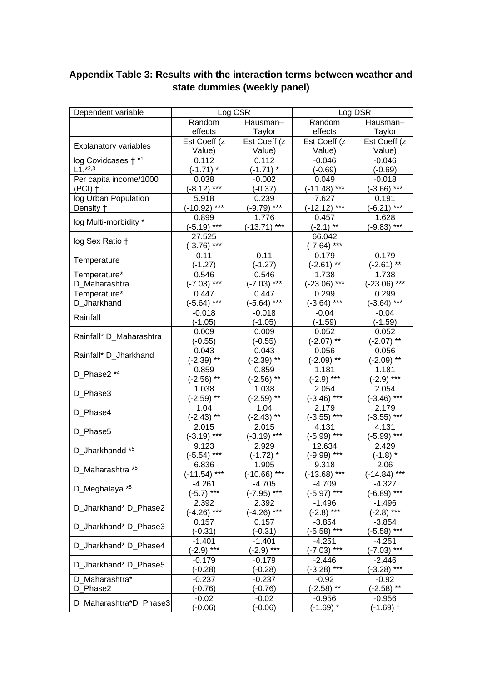| Dependent variable           |                | Log CSR        | Log DSR        |                |  |  |  |
|------------------------------|----------------|----------------|----------------|----------------|--|--|--|
|                              |                |                |                |                |  |  |  |
|                              | Random         | Hausman-       | Random         | Hausman-       |  |  |  |
|                              | effects        | Taylor         | effects        | Taylor         |  |  |  |
| <b>Explanatory variables</b> | Est Coeff (z   | Est Coeff (z   | Est Coeff (z   | Est Coeff (z   |  |  |  |
|                              | Value)         | Value)         | Value)         | Value)         |  |  |  |
| log Covidcases +*1           | 0.112          | 0.112          | $-0.046$       | $-0.046$       |  |  |  |
| $L1.*2,3$                    | $(-1.71)$ *    | $(-1.71)$ *    | $(-0.69)$      | $(-0.69)$      |  |  |  |
| Per capita income/1000       | 0.038          | $-0.002$       | 0.049          | $-0.018$       |  |  |  |
| $(PCI)$ †                    | $(-8.12)$ ***  | $(-0.37)$      | $(-11.48)$ *** | $(-3.66)$ ***  |  |  |  |
| log Urban Population         | 5.918          | 0.239          | 7.627          | 0.191          |  |  |  |
| Density +                    | $(-10.92)$ *** | $(-9.79)$ ***  | $(-12.12)$ *** | $(-6.21)$ ***  |  |  |  |
| log Multi-morbidity *        | 0.899          | 1.776          | 0.457          | 1.628          |  |  |  |
|                              | $(-5.19)$ ***  | $(-13.71)$ *** | $(-2.1)$ **    | $(-9.83)$ ***  |  |  |  |
| log Sex Ratio +              | 27.525         |                | 66.042         |                |  |  |  |
|                              | $(-3.76)$ ***  |                | $(-7.64)$ ***  |                |  |  |  |
| Temperature                  | 0.11           | 0.11           | 0.179          | 0.179          |  |  |  |
|                              | $(-1.27)$      | $(-1.27)$      | $(-2.61)$ **   | $(-2.61)$ **   |  |  |  |
| Temperature*                 | 0.546          | 0.546          | 1.738          | 1.738          |  |  |  |
| D_Maharashtra                | $(-7.03)$ ***  | $(-7.03)$ ***  | $(-23.06)$ *** | $(-23.06)$ *** |  |  |  |
| Temperature*                 | 0.447          | 0.447          | 0.299          | 0.299          |  |  |  |
| D_Jharkhand                  | $(-5.64)$ ***  | $(-5.64)$ ***  | $(-3.64)$ ***  | $(-3.64)$ ***  |  |  |  |
|                              | $-0.018$       | $-0.018$       | $-0.04$        | $-0.04$        |  |  |  |
| Rainfall                     | $(-1.05)$      | $(-1.05)$      | $(-1.59)$      | $(-1.59)$      |  |  |  |
| Rainfall* D Maharashtra      | 0.009          | 0.009          | 0.052          | 0.052          |  |  |  |
|                              | $(-0.55)$      | $(-0.55)$      | $(-2.07)$ **   | $(-2.07)$ **   |  |  |  |
|                              | 0.043          | 0.043          | 0.056          | 0.056          |  |  |  |
| Rainfall* D_Jharkhand        | $(-2.39)$ **   | $(-2.39)$ **   | $(-2.09)$ **   | $(-2.09)$ **   |  |  |  |
|                              | 0.859          | 0.859          | 1.181          | 1.181          |  |  |  |
| D_Phase2 *4                  | $(-2.56)$ **   | $(-2.56)$ **   | $(-2.9)$ ***   | $(-2.9)$ ***   |  |  |  |
|                              | 1.038          | 1.038          | 2.054          | 2.054          |  |  |  |
| D_Phase3                     | $(-2.59)$ **   | $(-2.59)$ **   | $(-3.46)$ ***  | $(-3.46)$ ***  |  |  |  |
|                              | 1.04           | 1.04           | 2.179          | 2.179          |  |  |  |
| D_Phase4                     | $(-2.43)$ **   | $(-2.43)$ **   | $(-3.55)$ ***  | $(-3.55)$ ***  |  |  |  |
|                              | 2.015          | 2.015          | 4.131          | 4.131          |  |  |  |
| D_Phase5                     | $(-3.19)$ ***  | $(-3.19)$ ***  | $(-5.99)$ ***  | $(-5.99)$ ***  |  |  |  |
|                              | 9.123          | 2.929          | 12.634         | 2.429          |  |  |  |
| D_Jharkhandd *5              | $(-5.54)$ ***  | $(-1.72)$ $*$  | $(-9.99)$ ***  | $(-1.8)$ *     |  |  |  |
|                              | 6.836          | 1.905          | 9.318          | 2.06           |  |  |  |
| D_Maharashtra *5             | $(-11.54)$ *** | $(-10.66)$ *** | $(-13.68)$ *** | $(-14.84)$ *** |  |  |  |
|                              | $-4.261$       | -4.705         | -4.709         | -4.327         |  |  |  |
| D_Meghalaya *5               | $(-5.7)$ ***   | $(-7.95)$ ***  | $(-5.97)$ ***  | (-6.89) ***    |  |  |  |
|                              | 2.392          | 2.392          | -1.496         | $-1.496$       |  |  |  |
| D Jharkhand* D_Phase2        | $(-4.26)$ ***  | $(-4.26)$ ***  | $(-2.8)$ ***   | (-2.8) ***     |  |  |  |
|                              | 0.157          | 0.157          | $-3.854$       | $-3.854$       |  |  |  |
| D_Jharkhand* D_Phase3        | $(-0.31)$      | $(-0.31)$      | $(-5.58)$ ***  | $(-5.58)$ ***  |  |  |  |
|                              | $-1.401$       | $-1.401$       | -4.251         | -4.251         |  |  |  |
| D_Jharkhand* D_Phase4        | $(-2.9)$ ***   | $(-2.9)$ ***   | $(-7.03)$ ***  | $(-7.03)$ ***  |  |  |  |
|                              | $-0.179$       | $-0.179$       | -2.446         | -2.446         |  |  |  |
| D_Jharkhand* D_Phase5        | $(-0.28)$      | $(-0.28)$      | $(-3.28)$ ***  | $(-3.28)$ ***  |  |  |  |
| D Maharashtra*               | $-0.237$       | $-0.237$       | $-0.92$        | $-0.92$        |  |  |  |
| D_Phase2                     | $(-0.76)$      | $(-0.76)$      | $(-2.58)$ **   | $(-2.58)$ **   |  |  |  |
|                              | $-0.02$        | $-0.02$        | $-0.956$       | $-0.956$       |  |  |  |
| D_Maharashtra*D_Phase3       | $(-0.06)$      | $(-0.06)$      | $(-1.69)$ *    | $(-1.69)$ *    |  |  |  |

# **Appendix Table 3: Results with the interaction terms between weather and state dummies (weekly panel)**